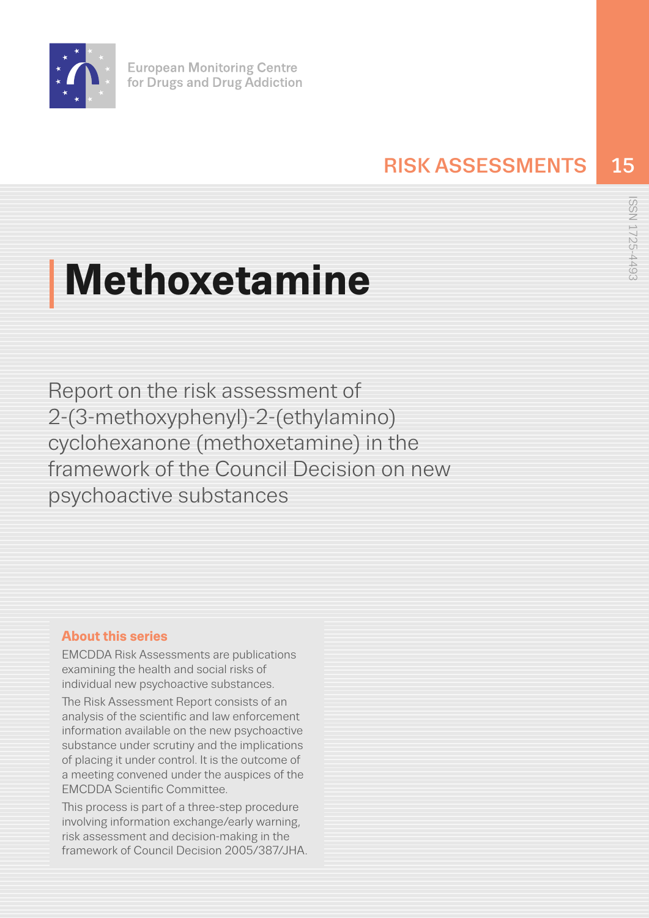

# RISK ASSESSMENTS 15

# **Methoxetamine**

Report on the risk assessment of 2-(3-methoxyphenyl)-2-(ethylamino) cyclohexanone (methoxetamine) in the framework of the Council Decision on new psychoactive substances

# **About this series**

EMCDDA Risk Assessments are publications examining the health and social risks of individual new psychoactive substances.

The Risk Assessment Report consists of an analysis of the scientific and law enforcement information available on the new psychoactive substance under scrutiny and the implications of placing it under control. It is the outcome of a meeting convened under the auspices of the EMCDDA Scientific Committee.

This process is part of a three-step procedure involving information exchange/early warning, risk assessment and decision-making in the framework of Council Decision 2005/387/JHA.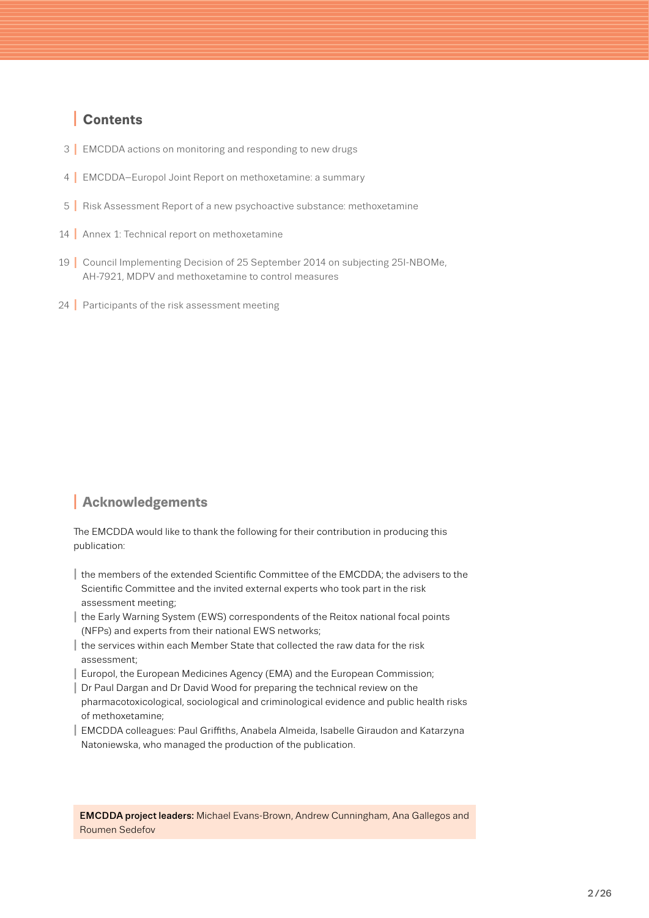# I **Contents**

- 3 | [EMCDDA actions on monitoring and responding to new drugs](#page-2-0)
- 4 I [EMCDDA–Europol Joint Report on methoxetamine: a summary](#page-3-0)
- 5 | [Risk Assessment Report of a new psychoactive substance: methoxetamine](#page-4-0)
- 14 | [Annex 1: Technical report on methoxetamine](#page-13-0)
- 19 I [Council Implementing Decision of 25 September 2014 on subjecting 25I-NBOMe,](#page-18-0)  AH-7921, MDPV and methoxetamine to control measures
- 24 | [Participants of the risk assessment meeting](#page-23-0)

# **<sup>I</sup> Acknowledgements**

The EMCDDA would like to thank the following for their contribution in producing this publication:

- I the members of the extended Scientific Committee of the EMCDDA; the advisers to the Scientific Committee and the invited external experts who took part in the risk assessment meeting;
- I the Early Warning System (EWS) correspondents of the Reitox national focal points (NFPs) and experts from their national EWS networks;
- I the services within each Member State that collected the raw data for the risk assessment;
- Europol, the European Medicines Agency (EMA) and the European Commission;
- I Dr Paul Dargan and Dr David Wood for preparing the technical review on the pharmacotoxicological, sociological and criminological evidence and public health risks of methoxetamine;
- | EMCDDA colleagues: Paul Griffiths, Anabela Almeida, Isabelle Giraudon and Katarzyna Natoniewska, who managed the production of the publication.

EMCDDA project leaders: Michael Evans-Brown, Andrew Cunningham, Ana Gallegos and Roumen Sedefov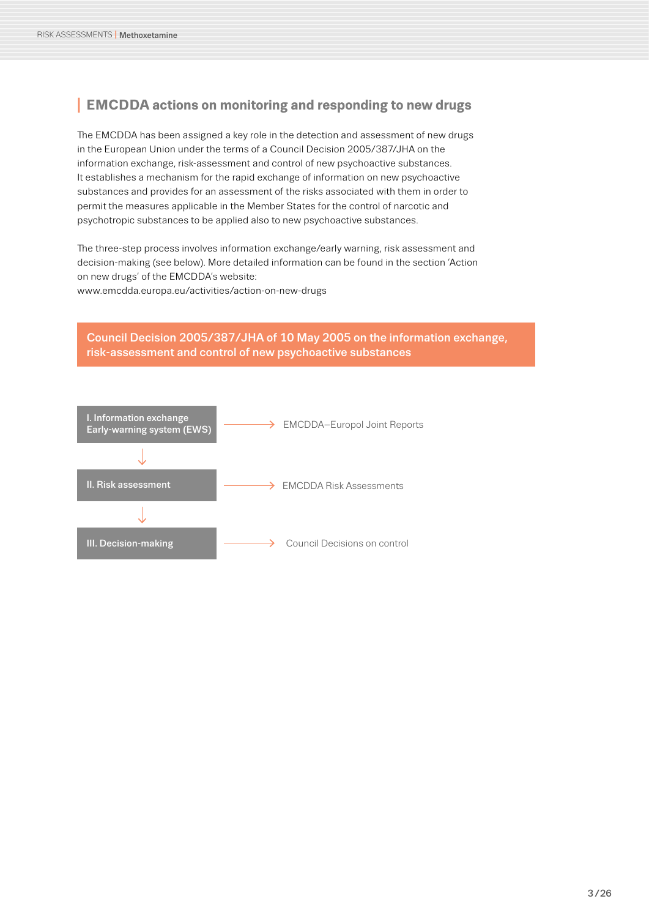# <span id="page-2-0"></span>**<sup>I</sup> EMCDDA actions on monitoring and responding to new drugs**

The EMCDDA has been assigned a key role in the detection and assessment of new drugs in the European Union under the terms of a Council Decision 2005/387/JHA on the information exchange, risk-assessment and control of new psychoactive substances. It establishes a mechanism for the rapid exchange of information on new psychoactive substances and provides for an assessment of the risks associated with them in order to permit the measures applicable in the Member States for the control of narcotic and psychotropic substances to be applied also to new psychoactive substances.

The three-step process involves information exchange/early warning, risk assessment and decision-making (see below). More detailed information can be found in the section 'Action on new drugs' of the EMCDDA's website:

[www.emcdda.europa.eu/activities/action-on-new-drugs](http://www.emcdda.europa.eu/activities/action-on-new-drugs)

#### [Council Decision 2005/387/JHA of 10 May 2005 on the information exchange,](http://eur-lex.europa.eu/LexUriServ/LexUriServ.do?uri=OJ:L:2005:127:0032:0037:EN:PDF)  risk-assessment and control of new psychoactive substances

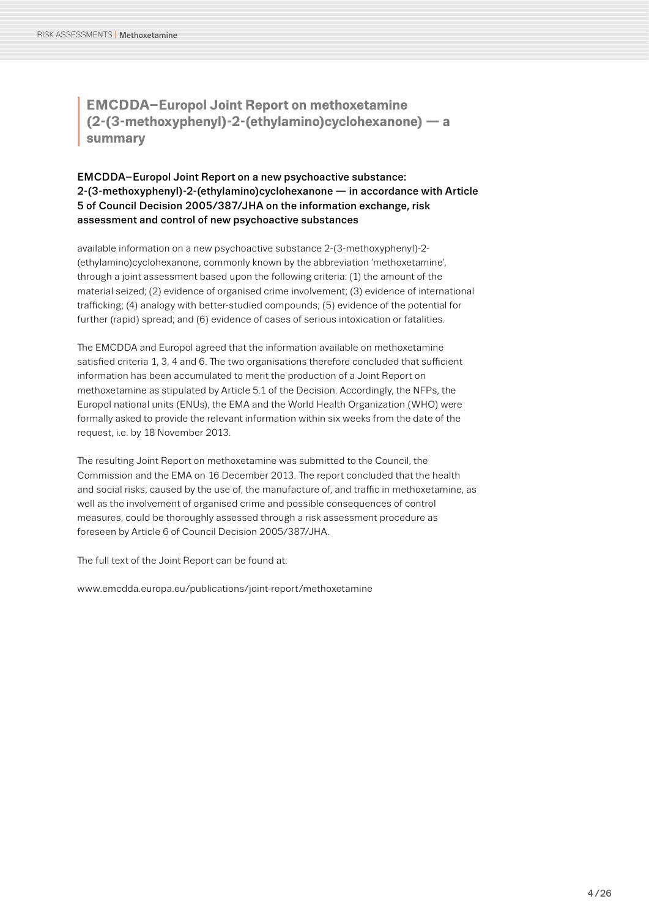<span id="page-3-0"></span>**I EMCDDA–Europol Joint Report on methoxetamine**<br>
(2-(3-methoxyphenyl)-2-(ethylamino)cyclohexanon<br>
summary **(2-(3-methoxyphenyl)-2-(ethylamino)cyclohexanone) — a summary**

#### EMCDDA–Europol Joint Report on a new psychoactive substance: 2-(3-methoxyphenyl)-2-(ethylamino)cyclohexanone — in accordance with Article 5 of Council Decision 2005/387/JHA on the information exchange, risk assessment and control of new psychoactive substances

available information on a new psychoactive substance 2-(3-methoxyphenyl)-2- (ethylamino)cyclohexanone, commonly known by the abbreviation 'methoxetamine', through a joint assessment based upon the following criteria: (1) the amount of the material seized; (2) evidence of organised crime involvement; (3) evidence of international trafficking; (4) analogy with better-studied compounds; (5) evidence of the potential for further (rapid) spread; and (6) evidence of cases of serious intoxication or fatalities.

The EMCDDA and Europol agreed that the information available on methoxetamine satisfied criteria 1, 3, 4 and 6. The two organisations therefore concluded that sufficient information has been accumulated to merit the production of a Joint Report on methoxetamine as stipulated by Article 5.1 of the Decision. Accordingly, the NFPs, the Europol national units (ENUs), the EMA and the World Health Organization (WHO) were formally asked to provide the relevant information within six weeks from the date of the request, i.e. by 18 November 2013.

The resulting Joint Report on methoxetamine was submitted to the Council, the Commission and the EMA on 16 December 2013. The report concluded that the health and social risks, caused by the use of, the manufacture of, and traffic in methoxetamine, as well as the involvement of organised crime and possible consequences of control measures, could be thoroughly assessed through a risk assessment procedure as foreseen by Article 6 of Council Decision 2005/387/JHA.

The full text of the Joint Report can be found at:

www.emcdda.europa.eu/publications/joint-report/methoxetamine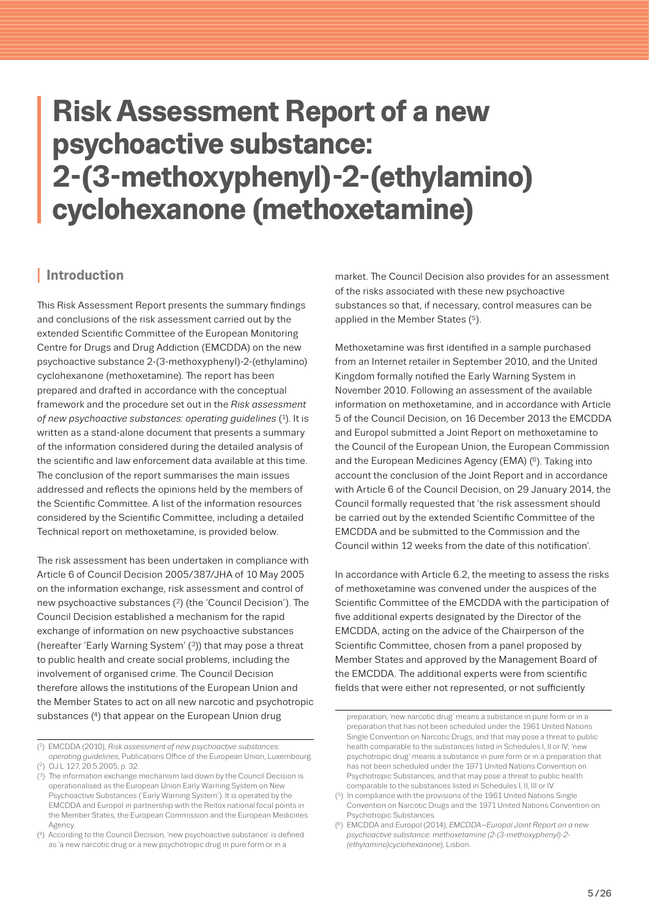# <span id="page-4-0"></span>**Risk Assessment Report of a new psychoactive substance: 2-(3-methoxyphenyl)-2-(ethylamino) cyclohexanone (methoxetamine)**

### **<sup>I</sup> Introduction**

This Risk Assessment Report presents the summary findings and conclusions of the risk assessment carried out by the extended Scientific Committee of the European Monitoring Centre for Drugs and Drug Addiction (EMCDDA) on the new psychoactive substance 2-(3-methoxyphenyl)-2-(ethylamino) cyclohexanone (methoxetamine). The report has been prepared and drafted in accordance with the conceptual framework and the procedure set out in the *Risk assessment of new psychoactive substances: operating guidelines* (1). It is written as a stand-alone document that presents a summary of the information considered during the detailed analysis of the scientific and law enforcement data available at this time. The conclusion of the report summarises the main issues addressed and reflects the opinions held by the members of the Scientific Committee. A list of the information resources considered by the Scientific Committee, including a detailed Technical report on methoxetamine, is provided below.

The risk assessment has been undertaken in compliance with Article 6 of Council Decision 2005/387/JHA of 10 May 2005 on the information exchange, risk assessment and control of new psychoactive substances (2) (the 'Council Decision'). The Council Decision established a mechanism for the rapid exchange of information on new psychoactive substances (hereafter 'Early Warning System' (3)) that may pose a threat to public health and create social problems, including the involvement of organised crime. The Council Decision therefore allows the institutions of the European Union and the Member States to act on all new narcotic and psychotropic substances (4) that appear on the European Union drug

market. The Council Decision also provides for an assessment of the risks associated with these new psychoactive substances so that, if necessary, control measures can be applied in the Member States (5).

Methoxetamine was first identified in a sample purchased from an Internet retailer in September 2010, and the United Kingdom formally notified the Early Warning System in November 2010. Following an assessment of the available information on methoxetamine, and in accordance with Article 5 of the Council Decision, on 16 December 2013 the EMCDDA and Europol submitted a Joint Report on methoxetamine to the Council of the European Union, the European Commission and the European Medicines Agency (EMA) (6). Taking into account the conclusion of the Joint Report and in accordance with Article 6 of the Council Decision, on 29 January 2014, the Council formally requested that 'the risk assessment should be carried out by the extended Scientific Committee of the EMCDDA and be submitted to the Commission and the Council within 12 weeks from the date of this notification'.

In accordance with Article 6.2, the meeting to assess the risks of methoxetamine was convened under the auspices of the Scientific Committee of the EMCDDA with the participation of five additional experts designated by the Director of the EMCDDA, acting on the advice of the Chairperson of the Scientific Committee, chosen from a panel proposed by Member States and approved by the Management Board of the EMCDDA. The additional experts were from scientific fields that were either not represented, or not sufficiently

<sup>(1)</sup> EMCDDA (2010), *Risk assessment of new psychoactive substances: operating guidelines*[, Publications Office of the European Union, Luxembourg.](www.emcdda.europa.eu/html.cfm/index100978EN.html)

<sup>(2)</sup> OJ L 127, 20.5.2005, p. 32.

<sup>(3)</sup> The information exchange mechanism laid down by the Council Decision is operationalised as the European Union Early Warning System on New Psychoactive Substances ('Early Warning System'). It is operated by the EMCDDA and Europol in partnership with the Reitox national focal points in the Member States, the European Commission and the European Medicines Agency.

<sup>(4)</sup> According to the Council Decision, 'new psychoactive substance' is defined as 'a new narcotic drug or a new psychotropic drug in pure form or in a

preparation; 'new narcotic drug' means a substance in pure form or in a preparation that has not been scheduled under the 1961 United Nations Single Convention on Narcotic Drugs, and that may pose a threat to public health comparable to the substances listed in Schedules I, II or IV; 'new psychotropic drug' means a substance in pure form or in a preparation that has not been scheduled under the 1971 United Nations Convention on Psychotropic Substances, and that may pose a threat to public health comparable to the substances listed in Schedules I, II, III or IV.

<sup>(5)</sup> In compliance with the provisions of the 1961 United Nations Single Convention on Narcotic Drugs and the 1971 United Nations Convention on Psychotropic Substances.

<sup>(6)</sup> EMCDDA and Europol (2014), *EMCDDA–Europol Joint Report on a new [psychoactive substance: methoxetamine \(2-\(3-methoxyphenyl\)-2-](www.emcdda.europa.eu/publications/joint-report/methoxetamine) (ethylamino)cyclohexanone)*, Lisbon.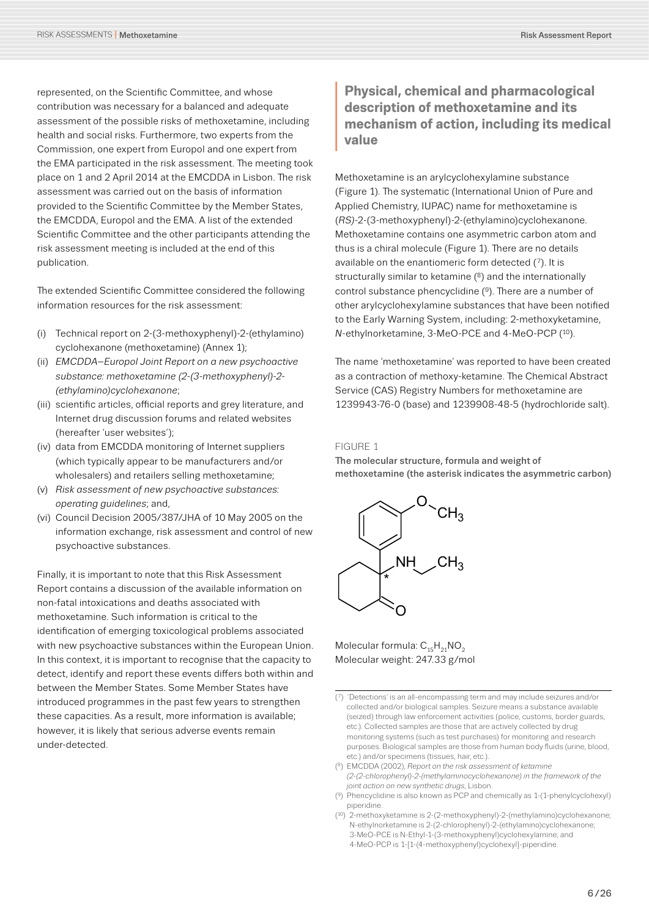represented, on the Scientific Committee, and whose contribution was necessary for a balanced and adequate assessment of the possible risks of methoxetamine, including health and social risks. Furthermore, two experts from the Commission, one expert from Europol and one expert from the EMA participated in the risk assessment. The meeting took place on 1 and 2 April 2014 at the EMCDDA in Lisbon. The risk assessment was carried out on the basis of information provided to the Scientific Committee by the Member States, the EMCDDA, Europol and the EMA. A list of the extended Scientific Committee and the other participants attending the risk assessment meeting is included at the end of this publication.

The extended Scientific Committee considered the following information resources for the risk assessment:

- (i) Technical report on 2-(3-methoxyphenyl)-2-(ethylamino) cyclohexanone (methoxetamine) (Annex 1);
- (ii) *EMCDDA–Europol Joint Report on a new psychoactive substance: methoxetamine (2-(3-methoxyphenyl)-2- (ethylamino)cyclohexanone*;
- (iii) scientific articles, official reports and grey literature, and Internet drug discussion forums and related websites (hereafter 'user websites');
- (iv) data from EMCDDA monitoring of Internet suppliers (which typically appear to be manufacturers and/or wholesalers) and retailers selling methoxetamine;
- (v) *Risk assessment of new psychoactive substances: operating guidelines*; and,
- (vi) Council Decision 2005/387/JHA of 10 May 2005 on the information exchange, risk assessment and control of new psychoactive substances.

Finally, it is important to note that this Risk Assessment Report contains a discussion of the available information on non-fatal intoxications and deaths associated with methoxetamine. Such information is critical to the identification of emerging toxicological problems associated with new psychoactive substances within the European Union. In this context, it is important to recognise that the capacity to detect, identify and report these events differs both within and between the Member States. Some Member States have introduced programmes in the past few years to strengthen these capacities. As a result, more information is available; however, it is likely that serious adverse events remain under-detected.

# **Physical, chemical and pharmacological description of methoxetamine and its mechanism of action, including its medic value description of methoxetamine and its mechanism of action, including its medical value**

Methoxetamine is an arylcyclohexylamine substance (Figure 1). The systematic (International Union of Pure and Applied Chemistry, IUPAC) name for methoxetamine is (*RS)*-2-(3-methoxyphenyl)-2-(ethylamino)cyclohexanone. Methoxetamine contains one asymmetric carbon atom and thus is a chiral molecule (Figure 1). There are no details available on the enantiomeric form detected (7). It is structurally similar to ketamine (8) and the internationally control substance phencyclidine (9). There are a number of other arylcyclohexylamine substances that have been notified to the Early Warning System, including: 2-methoxyketamine, *N*-ethylnorketamine, 3-MeO-PCE and 4-MeO-PCP (10).

The name 'methoxetamine' was reported to have been created as a contraction of methoxy-ketamine. The Chemical Abstract Service (CAS) Registry Numbers for methoxetamine are 1239943-76-0 (base) and 1239908-48-5 (hydrochloride salt).

#### FIGURE 1

The molecular structure, formula and weight of methoxetamine (the asterisk indicates the asymmetric carbon)



Molecular formula:  $C_{15}H_{21}NO_{2}$ Molecular weight: 247.33 g/mol

(10) 2-methoxyketamine is 2-(2-methoxyphenyl)-2-(methylamino)cyclohexanone; N-ethylnorketamine is 2-(2-chlorophenyl)-2-(ethylamino)cyclohexanone; 3-MeO-PCE is N-Ethyl-1-(3-methoxyphenyl)cyclohexylamine; and 4-MeO-PCP is 1-[1-(4-methoxyphenyl)cyclohexyl]-piperidine.

<sup>(7) &#</sup>x27;Detections' is an all-encompassing term and may include seizures and/or collected and/or biological samples. Seizure means a substance available (seized) through law enforcement activities (police, customs, border guards, etc.). Collected samples are those that are actively collected by drug monitoring systems (such as test purchases) for monitoring and research purposes. Biological samples are those from human body fluids (urine, blood, etc.) and/or specimens (tissues, hair, etc.).

<sup>(8)</sup> EMCDDA (2002), *Report on the risk assessment of ketamine [\(2-\(2-chlorophenyl\)-2-\(methylaminocyclohexanone\) in the framework of the](www.emcdda.europa.eu/html.cfm/index33341EN.html)  joint action on new synthetic drugs*, Lisbon.

<sup>(9)</sup> Phencyclidine is also known as PCP and chemically as 1-(1-phenylcyclohexyl) piperidine.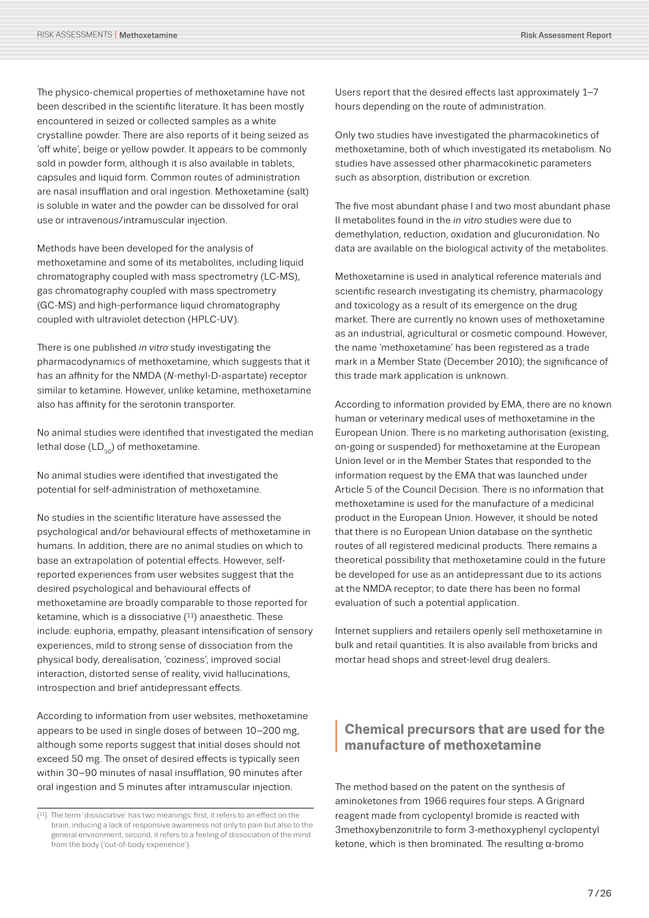The physico-chemical properties of methoxetamine have not been described in the scientific literature. It has been mostly encountered in seized or collected samples as a white crystalline powder. There are also reports of it being seized as 'off white', beige or yellow powder. It appears to be commonly sold in powder form, although it is also available in tablets, capsules and liquid form. Common routes of administration are nasal insufflation and oral ingestion. Methoxetamine (salt) is soluble in water and the powder can be dissolved for oral use or intravenous/intramuscular injection.

Methods have been developed for the analysis of methoxetamine and some of its metabolites, including liquid chromatography coupled with mass spectrometry (LC-MS), gas chromatography coupled with mass spectrometry (GC-MS) and high-performance liquid chromatography coupled with ultraviolet detection (HPLC-UV).

There is one published *in vitro* study investigating the pharmacodynamics of methoxetamine, which suggests that it has an affinity for the NMDA (*N*-methyl-D-aspartate) receptor similar to ketamine. However, unlike ketamine, methoxetamine also has affinity for the serotonin transporter.

No animal studies were identified that investigated the median lethal dose  $(LD_{50})$  of methoxetamine.

No animal studies were identified that investigated the potential for self-administration of methoxetamine.

No studies in the scientific literature have assessed the psychological and/or behavioural effects of methoxetamine in humans. In addition, there are no animal studies on which to base an extrapolation of potential effects. However, selfreported experiences from user websites suggest that the desired psychological and behavioural effects of methoxetamine are broadly comparable to those reported for ketamine, which is a dissociative  $(11)$  anaesthetic. These include: euphoria, empathy, pleasant intensification of sensory experiences, mild to strong sense of dissociation from the physical body, derealisation, 'coziness', improved social interaction, distorted sense of reality, vivid hallucinations, introspection and brief antidepressant effects.

According to information from user websites, methoxetamine appears to be used in single doses of between 10–200 mg, although some reports suggest that initial doses should not exceed 50 mg. The onset of desired effects is typically seen within 30–90 minutes of nasal insufflation, 90 minutes after oral ingestion and 5 minutes after intramuscular injection.

Users report that the desired effects last approximately 1–7 hours depending on the route of administration.

Only two studies have investigated the pharmacokinetics of methoxetamine, both of which investigated its metabolism. No studies have assessed other pharmacokinetic parameters such as absorption, distribution or excretion.

The five most abundant phase I and two most abundant phase II metabolites found in the *in vitro* studies were due to demethylation, reduction, oxidation and glucuronidation. No data are available on the biological activity of the metabolites.

Methoxetamine is used in analytical reference materials and scientific research investigating its chemistry, pharmacology and toxicology as a result of its emergence on the drug market. There are currently no known uses of methoxetamine as an industrial, agricultural or cosmetic compound. However, the name 'methoxetamine' has been registered as a trade mark in a Member State (December 2010); the significance of this trade mark application is unknown.

According to information provided by EMA, there are no known human or veterinary medical uses of methoxetamine in the European Union. There is no marketing authorisation (existing, on-going or suspended) for methoxetamine at the European Union level or in the Member States that responded to the information request by the EMA that was launched under Article 5 of the Council Decision. There is no information that methoxetamine is used for the manufacture of a medicinal product in the European Union. However, it should be noted that there is no European Union database on the synthetic routes of all registered medicinal products. There remains a theoretical possibility that methoxetamine could in the future be developed for use as an antidepressant due to its actions at the NMDA receptor; to date there has been no formal evaluation of such a potential application.

Internet suppliers and retailers openly sell methoxetamine in bulk and retail quantities. It is also available from bricks and mortar head shops and street-level drug dealers.

# **<sup>I</sup> Chemical precursors that are used for the manufacture of methoxetamine**

The method based on the patent on the synthesis of aminoketones from 1966 requires four steps. A Grignard reagent made from cyclopentyl bromide is reacted with 3methoxybenzonitrile to form 3-methoxyphenyl cyclopentyl ketone, which is then brominated. The resulting α-bromo

<sup>(11)</sup> The term 'dissociative' has two meanings: first, it refers to an effect on the brain, inducing a lack of responsive awareness not only to pain but also to the general environment; second, it refers to a feeling of dissociation of the mind from the body ('out-of-body experience').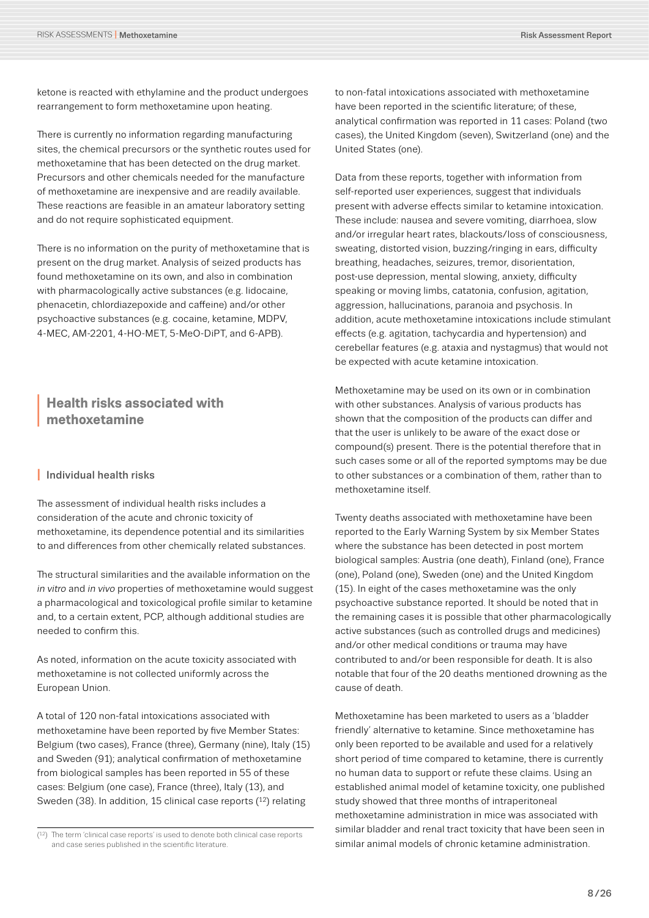ketone is reacted with ethylamine and the product undergoes rearrangement to form methoxetamine upon heating.

There is currently no information regarding manufacturing sites, the chemical precursors or the synthetic routes used for methoxetamine that has been detected on the drug market. Precursors and other chemicals needed for the manufacture of methoxetamine are inexpensive and are readily available. These reactions are feasible in an amateur laboratory setting and do not require sophisticated equipment.

There is no information on the purity of methoxetamine that is present on the drug market. Analysis of seized products has found methoxetamine on its own, and also in combination with pharmacologically active substances (e.g. lidocaine, phenacetin, chlordiazepoxide and caffeine) and/or other psychoactive substances (e.g. cocaine, ketamine, MDPV, 4-MEC, AM-2201, 4-HO-MET, 5-MeO-DiPT, and 6-APB).

## **<sup>I</sup> Health risks associated with methoxetamine**

#### **I** Individual health risks

The assessment of individual health risks includes a consideration of the acute and chronic toxicity of methoxetamine, its dependence potential and its similarities to and differences from other chemically related substances.

The structural similarities and the available information on the *in vitro* and *in vivo* properties of methoxetamine would suggest a pharmacological and toxicological profile similar to ketamine and, to a certain extent, PCP, although additional studies are needed to confirm this.

As noted, information on the acute toxicity associated with methoxetamine is not collected uniformly across the European Union.

A total of 120 non-fatal intoxications associated with methoxetamine have been reported by five Member States: Belgium (two cases), France (three), Germany (nine), Italy (15) and Sweden (91); analytical confirmation of methoxetamine from biological samples has been reported in 55 of these cases: Belgium (one case), France (three), Italy (13), and Sweden (38). In addition, 15 clinical case reports (12) relating

to non-fatal intoxications associated with methoxetamine have been reported in the scientific literature; of these, analytical confirmation was reported in 11 cases: Poland (two cases), the United Kingdom (seven), Switzerland (one) and the United States (one).

Data from these reports, together with information from self-reported user experiences, suggest that individuals present with adverse effects similar to ketamine intoxication. These include: nausea and severe vomiting, diarrhoea, slow and/or irregular heart rates, blackouts/loss of consciousness, sweating, distorted vision, buzzing/ringing in ears, difficulty breathing, headaches, seizures, tremor, disorientation, post-use depression, mental slowing, anxiety, difficulty speaking or moving limbs, catatonia, confusion, agitation, aggression, hallucinations, paranoia and psychosis. In addition, acute methoxetamine intoxications include stimulant effects (e.g. agitation, tachycardia and hypertension) and cerebellar features (e.g. ataxia and nystagmus) that would not be expected with acute ketamine intoxication.

Methoxetamine may be used on its own or in combination with other substances. Analysis of various products has shown that the composition of the products can differ and that the user is unlikely to be aware of the exact dose or compound(s) present. There is the potential therefore that in such cases some or all of the reported symptoms may be due to other substances or a combination of them, rather than to methoxetamine itself.

Twenty deaths associated with methoxetamine have been reported to the Early Warning System by six Member States where the substance has been detected in post mortem biological samples: Austria (one death), Finland (one), France (one), Poland (one), Sweden (one) and the United Kingdom (15). In eight of the cases methoxetamine was the only psychoactive substance reported. It should be noted that in the remaining cases it is possible that other pharmacologically active substances (such as controlled drugs and medicines) and/or other medical conditions or trauma may have contributed to and/or been responsible for death. It is also notable that four of the 20 deaths mentioned drowning as the cause of death.

Methoxetamine has been marketed to users as a 'bladder friendly' alternative to ketamine. Since methoxetamine has only been reported to be available and used for a relatively short period of time compared to ketamine, there is currently no human data to support or refute these claims. Using an established animal model of ketamine toxicity, one published study showed that three months of intraperitoneal methoxetamine administration in mice was associated with similar bladder and renal tract toxicity that have been seen in similar animal models of chronic ketamine administration.

<sup>(12)</sup> The term 'clinical case reports' is used to denote both clinical case reports and case series published in the scientific literature.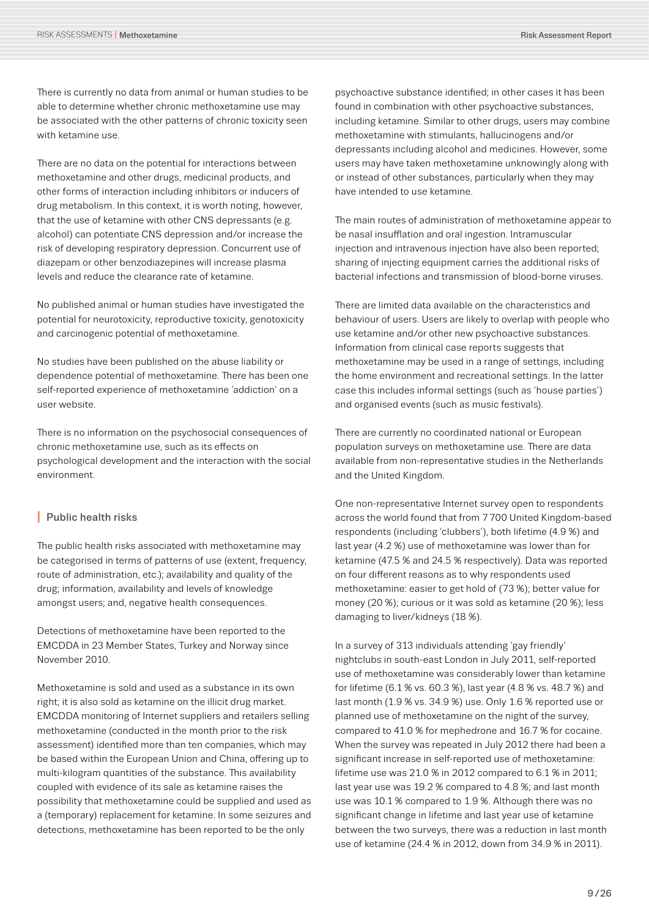There is currently no data from animal or human studies to be able to determine whether chronic methoxetamine use may be associated with the other patterns of chronic toxicity seen with ketamine use.

There are no data on the potential for interactions between methoxetamine and other drugs, medicinal products, and other forms of interaction including inhibitors or inducers of drug metabolism. In this context, it is worth noting, however, that the use of ketamine with other CNS depressants (e.g. alcohol) can potentiate CNS depression and/or increase the risk of developing respiratory depression. Concurrent use of diazepam or other benzodiazepines will increase plasma levels and reduce the clearance rate of ketamine.

No published animal or human studies have investigated the potential for neurotoxicity, reproductive toxicity, genotoxicity and carcinogenic potential of methoxetamine.

No studies have been published on the abuse liability or dependence potential of methoxetamine. There has been one self-reported experience of methoxetamine 'addiction' on a user website.

There is no information on the psychosocial consequences of chronic methoxetamine use, such as its effects on psychological development and the interaction with the social environment.

#### **I** Public health risks

The public health risks associated with methoxetamine may be categorised in terms of patterns of use (extent, frequency, route of administration, etc.); availability and quality of the drug; information, availability and levels of knowledge amongst users; and, negative health consequences.

Detections of methoxetamine have been reported to the EMCDDA in 23 Member States, Turkey and Norway since November 2010.

Methoxetamine is sold and used as a substance in its own right; it is also sold as ketamine on the illicit drug market. EMCDDA monitoring of Internet suppliers and retailers selling methoxetamine (conducted in the month prior to the risk assessment) identified more than ten companies, which may be based within the European Union and China, offering up to multi-kilogram quantities of the substance. This availability coupled with evidence of its sale as ketamine raises the possibility that methoxetamine could be supplied and used as a (temporary) replacement for ketamine. In some seizures and detections, methoxetamine has been reported to be the only

psychoactive substance identified; in other cases it has been found in combination with other psychoactive substances, including ketamine. Similar to other drugs, users may combine methoxetamine with stimulants, hallucinogens and/or depressants including alcohol and medicines. However, some users may have taken methoxetamine unknowingly along with or instead of other substances, particularly when they may have intended to use ketamine.

The main routes of administration of methoxetamine appear to be nasal insufflation and oral ingestion. Intramuscular injection and intravenous injection have also been reported; sharing of injecting equipment carries the additional risks of bacterial infections and transmission of blood-borne viruses.

There are limited data available on the characteristics and behaviour of users. Users are likely to overlap with people who use ketamine and/or other new psychoactive substances. Information from clinical case reports suggests that methoxetamine may be used in a range of settings, including the home environment and recreational settings. In the latter case this includes informal settings (such as 'house parties') and organised events (such as music festivals).

There are currently no coordinated national or European population surveys on methoxetamine use. There are data available from non-representative studies in the Netherlands and the United Kingdom.

One non-representative Internet survey open to respondents across the world found that from 7 700 United Kingdom-based respondents (including 'clubbers'), both lifetime (4.9 %) and last year (4.2 %) use of methoxetamine was lower than for ketamine (47.5 % and 24.5 % respectively). Data was reported on four different reasons as to why respondents used methoxetamine: easier to get hold of (73 %); better value for money (20 %); curious or it was sold as ketamine (20 %); less damaging to liver/kidneys (18 %).

In a survey of 313 individuals attending 'gay friendly' nightclubs in south-east London in July 2011, self-reported use of methoxetamine was considerably lower than ketamine for lifetime (6.1 % vs. 60.3 %), last year (4.8 % vs. 48.7 %) and last month (1.9 % vs. 34.9 %) use. Only 1.6 % reported use or planned use of methoxetamine on the night of the survey, compared to 41.0 % for mephedrone and 16.7 % for cocaine. When the survey was repeated in July 2012 there had been a significant increase in self-reported use of methoxetamine: lifetime use was 21.0 % in 2012 compared to 6.1 % in 2011; last year use was 19.2 % compared to 4.8 %; and last month use was 10.1 % compared to 1.9 %. Although there was no significant change in lifetime and last year use of ketamine between the two surveys, there was a reduction in last month use of ketamine (24.4 % in 2012, down from 34.9 % in 2011).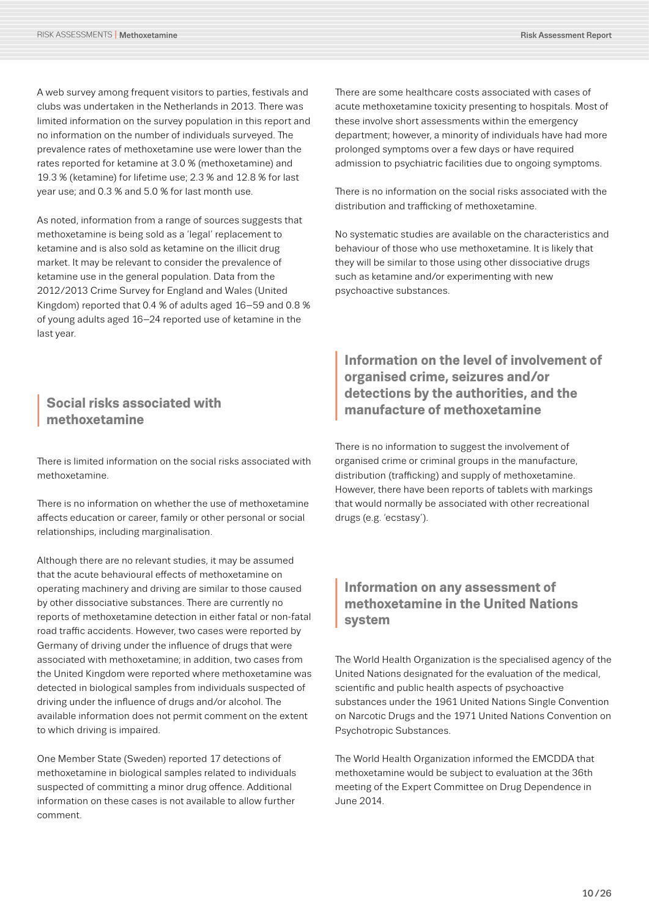A web survey among frequent visitors to parties, festivals and clubs was undertaken in the Netherlands in 2013. There was limited information on the survey population in this report and no information on the number of individuals surveyed. The prevalence rates of methoxetamine use were lower than the rates reported for ketamine at 3.0 % (methoxetamine) and 19.3 % (ketamine) for lifetime use; 2.3 % and 12.8 % for last year use; and 0.3 % and 5.0 % for last month use.

As noted, information from a range of sources suggests that methoxetamine is being sold as a 'legal' replacement to ketamine and is also sold as ketamine on the illicit drug market. It may be relevant to consider the prevalence of ketamine use in the general population. Data from the 2012/2013 Crime Survey for England and Wales (United Kingdom) reported that 0.4 % of adults aged 16–59 and 0.8 % of young adults aged 16–24 reported use of ketamine in the last year.

# **<sup>I</sup> Social risks associated with methoxetamine**

There is limited information on the social risks associated with methoxetamine.

There is no information on whether the use of methoxetamine affects education or career, family or other personal or social relationships, including marginalisation.

Although there are no relevant studies, it may be assumed that the acute behavioural effects of methoxetamine on operating machinery and driving are similar to those caused by other dissociative substances. There are currently no reports of methoxetamine detection in either fatal or non-fatal road traffic accidents. However, two cases were reported by Germany of driving under the influence of drugs that were associated with methoxetamine; in addition, two cases from the United Kingdom were reported where methoxetamine was detected in biological samples from individuals suspected of driving under the influence of drugs and/or alcohol. The available information does not permit comment on the extent to which driving is impaired.

One Member State (Sweden) reported 17 detections of methoxetamine in biological samples related to individuals suspected of committing a minor drug offence. Additional information on these cases is not available to allow further comment.

There are some healthcare costs associated with cases of acute methoxetamine toxicity presenting to hospitals. Most of these involve short assessments within the emergency department; however, a minority of individuals have had more prolonged symptoms over a few days or have required admission to psychiatric facilities due to ongoing symptoms.

There is no information on the social risks associated with the distribution and trafficking of methoxetamine.

No systematic studies are available on the characteristics and behaviour of those who use methoxetamine. It is likely that they will be similar to those using other dissociative drugs such as ketamine and/or experimenting with new psychoactive substances.

# Information on the level of involvement of<br>organised crime, seizures and/or<br>detections by the authorities, and the<br>manufacture of methoxetamine **organised crime, seizures and/or detections by the authorities, and the manufacture of methoxetamine**

There is no information to suggest the involvement of organised crime or criminal groups in the manufacture, distribution (trafficking) and supply of methoxetamine. However, there have been reports of tablets with markings that would normally be associated with other recreational drugs (e.g. 'ecstasy').

# **Information on any assessment of<br>
<b>I** methoxetamine in the United Nation<br>
system **methoxetamine in the United Nations system**

The World Health Organization is the specialised agency of the United Nations designated for the evaluation of the medical, scientific and public health aspects of psychoactive substances under the 1961 United Nations Single Convention on Narcotic Drugs and the 1971 United Nations Convention on Psychotropic Substances.

The World Health Organization informed the EMCDDA that methoxetamine would be subject to evaluation at the 36th meeting of the Expert Committee on Drug Dependence in June 2014.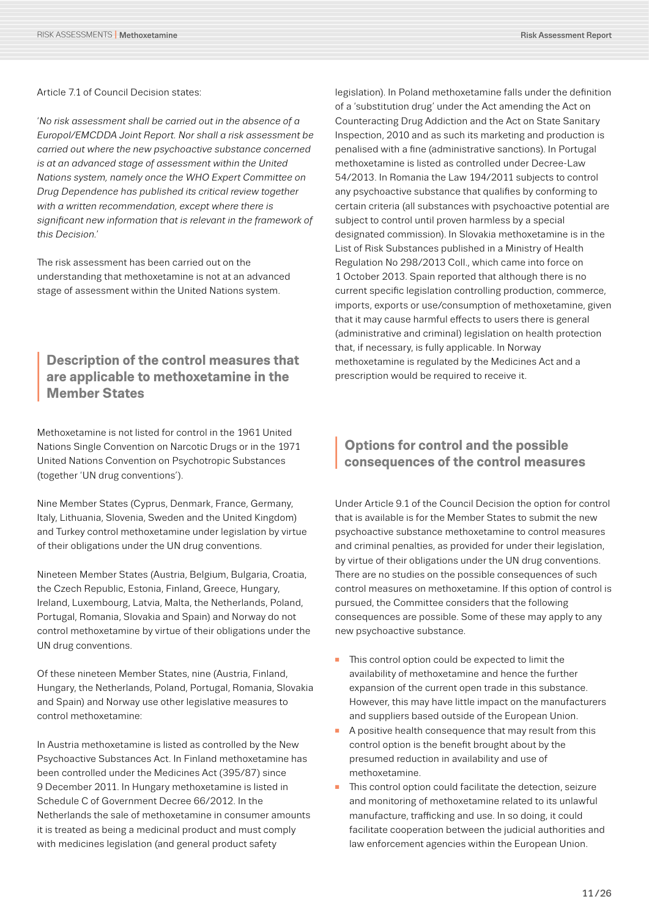Article 7.1 of Council Decision states:

'*No risk assessment shall be carried out in the absence of a Europol/EMCDDA Joint Report. Nor shall a risk assessment be carried out where the new psychoactive substance concerned is at an advanced stage of assessment within the United Nations system, namely once the WHO Expert Committee on Drug Dependence has published its critical review together with a written recommendation, except where there is significant new information that is relevant in the framework of this Decision.*'

The risk assessment has been carried out on the understanding that methoxetamine is not at an advanced stage of assessment within the United Nations system.

# **Description of the control measures that<br>
are applicable to methoxetamine in the<br>
Member States are applicable to methoxetamine in the Member States**

Methoxetamine is not listed for control in the 1961 United Nations Single Convention on Narcotic Drugs or in the 1971 United Nations Convention on Psychotropic Substances (together 'UN drug conventions').

Nine Member States (Cyprus, Denmark, France, Germany, Italy, Lithuania, Slovenia, Sweden and the United Kingdom) and Turkey control methoxetamine under legislation by virtue of their obligations under the UN drug conventions.

Nineteen Member States (Austria, Belgium, Bulgaria, Croatia, the Czech Republic, Estonia, Finland, Greece, Hungary, Ireland, Luxembourg, Latvia, Malta, the Netherlands, Poland, Portugal, Romania, Slovakia and Spain) and Norway do not control methoxetamine by virtue of their obligations under the UN drug conventions.

Of these nineteen Member States, nine (Austria, Finland, Hungary, the Netherlands, Poland, Portugal, Romania, Slovakia and Spain) and Norway use other legislative measures to control methoxetamine:

In Austria methoxetamine is listed as controlled by the New Psychoactive Substances Act. In Finland methoxetamine has been controlled under the Medicines Act (395/87) since 9 December 2011. In Hungary methoxetamine is listed in Schedule C of Government Decree 66/2012. In the Netherlands the sale of methoxetamine in consumer amounts it is treated as being a medicinal product and must comply with medicines legislation (and general product safety

legislation). In Poland methoxetamine falls under the definition of a 'substitution drug' under the Act amending the Act on Counteracting Drug Addiction and the Act on State Sanitary Inspection, 2010 and as such its marketing and production is penalised with a fine (administrative sanctions). In Portugal methoxetamine is listed as controlled under Decree-Law 54/2013. In Romania the Law 194/2011 subjects to control any psychoactive substance that qualifies by conforming to certain criteria (all substances with psychoactive potential are subject to control until proven harmless by a special designated commission). In Slovakia methoxetamine is in the List of Risk Substances published in a Ministry of Health Regulation No 298/2013 Coll., which came into force on 1 October 2013. Spain reported that although there is no current specific legislation controlling production, commerce, imports, exports or use/consumption of methoxetamine, given that it may cause harmful effects to users there is general (administrative and criminal) legislation on health protection that, if necessary, is fully applicable. In Norway methoxetamine is regulated by the Medicines Act and a prescription would be required to receive it.

# **<sup>I</sup> Options for control and the possible consequences of the control measures**

Under Article 9.1 of the Council Decision the option for control that is available is for the Member States to submit the new psychoactive substance methoxetamine to control measures and criminal penalties, as provided for under their legislation, by virtue of their obligations under the UN drug conventions. There are no studies on the possible consequences of such control measures on methoxetamine. If this option of control is pursued, the Committee considers that the following consequences are possible. Some of these may apply to any new psychoactive substance.

- n This control option could be expected to limit the availability of methoxetamine and hence the further expansion of the current open trade in this substance. However, this may have little impact on the manufacturers and suppliers based outside of the European Union.
- A positive health consequence that may result from this control option is the benefit brought about by the presumed reduction in availability and use of methoxetamine.
- This control option could facilitate the detection, seizure and monitoring of methoxetamine related to its unlawful manufacture, trafficking and use. In so doing, it could facilitate cooperation between the judicial authorities and law enforcement agencies within the European Union.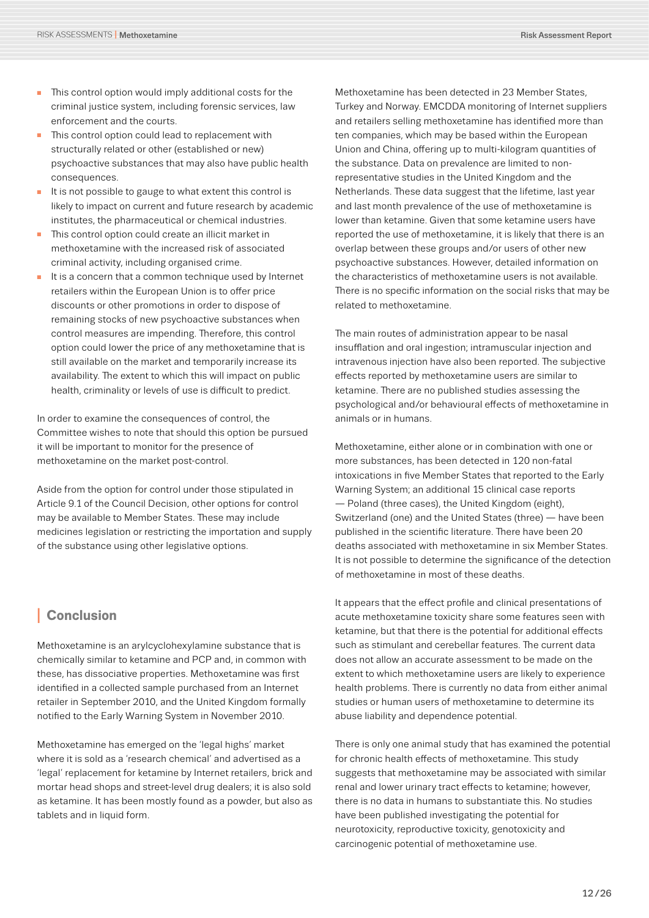- $\blacksquare$  This control option would imply additional costs for the criminal justice system, including forensic services, law enforcement and the courts.
- This control option could lead to replacement with structurally related or other (established or new) psychoactive substances that may also have public health consequences.
- $\blacksquare$  It is not possible to gauge to what extent this control is likely to impact on current and future research by academic institutes, the pharmaceutical or chemical industries.
- n This control option could create an illicit market in methoxetamine with the increased risk of associated criminal activity, including organised crime.
- $\blacksquare$  It is a concern that a common technique used by Internet retailers within the European Union is to offer price discounts or other promotions in order to dispose of remaining stocks of new psychoactive substances when control measures are impending. Therefore, this control option could lower the price of any methoxetamine that is still available on the market and temporarily increase its availability. The extent to which this will impact on public health, criminality or levels of use is difficult to predict.

In order to examine the consequences of control, the Committee wishes to note that should this option be pursued it will be important to monitor for the presence of methoxetamine on the market post-control.

Aside from the option for control under those stipulated in Article 9.1 of the Council Decision, other options for control may be available to Member States. These may include medicines legislation or restricting the importation and supply of the substance using other legislative options.

# **<sup>I</sup> Conclusion**

Methoxetamine is an arylcyclohexylamine substance that is chemically similar to ketamine and PCP and, in common with these, has dissociative properties. Methoxetamine was first identified in a collected sample purchased from an Internet retailer in September 2010, and the United Kingdom formally notified to the Early Warning System in November 2010.

Methoxetamine has emerged on the 'legal highs' market where it is sold as a 'research chemical' and advertised as a 'legal' replacement for ketamine by Internet retailers, brick and mortar head shops and street-level drug dealers; it is also sold as ketamine. It has been mostly found as a powder, but also as tablets and in liquid form.

Methoxetamine has been detected in 23 Member States, Turkey and Norway. EMCDDA monitoring of Internet suppliers and retailers selling methoxetamine has identified more than ten companies, which may be based within the European Union and China, offering up to multi-kilogram quantities of the substance. Data on prevalence are limited to nonrepresentative studies in the United Kingdom and the Netherlands. These data suggest that the lifetime, last year and last month prevalence of the use of methoxetamine is lower than ketamine. Given that some ketamine users have reported the use of methoxetamine, it is likely that there is an overlap between these groups and/or users of other new psychoactive substances. However, detailed information on the characteristics of methoxetamine users is not available. There is no specific information on the social risks that may be related to methoxetamine.

The main routes of administration appear to be nasal insufflation and oral ingestion; intramuscular injection and intravenous injection have also been reported. The subjective effects reported by methoxetamine users are similar to ketamine. There are no published studies assessing the psychological and/or behavioural effects of methoxetamine in animals or in humans.

Methoxetamine, either alone or in combination with one or more substances, has been detected in 120 non-fatal intoxications in five Member States that reported to the Early Warning System; an additional 15 clinical case reports — Poland (three cases), the United Kingdom (eight), Switzerland (one) and the United States (three) — have been published in the scientific literature. There have been 20 deaths associated with methoxetamine in six Member States. It is not possible to determine the significance of the detection of methoxetamine in most of these deaths.

It appears that the effect profile and clinical presentations of acute methoxetamine toxicity share some features seen with ketamine, but that there is the potential for additional effects such as stimulant and cerebellar features. The current data does not allow an accurate assessment to be made on the extent to which methoxetamine users are likely to experience health problems. There is currently no data from either animal studies or human users of methoxetamine to determine its abuse liability and dependence potential.

There is only one animal study that has examined the potential for chronic health effects of methoxetamine. This study suggests that methoxetamine may be associated with similar renal and lower urinary tract effects to ketamine; however, there is no data in humans to substantiate this. No studies have been published investigating the potential for neurotoxicity, reproductive toxicity, genotoxicity and carcinogenic potential of methoxetamine use.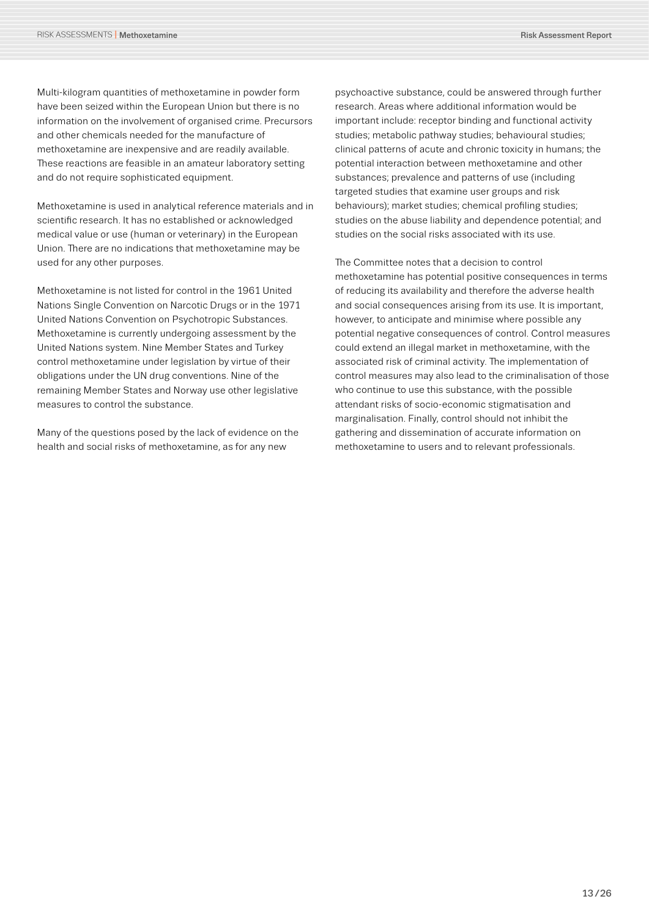Multi-kilogram quantities of methoxetamine in powder form have been seized within the European Union but there is no information on the involvement of organised crime. Precursors and other chemicals needed for the manufacture of methoxetamine are inexpensive and are readily available. These reactions are feasible in an amateur laboratory setting and do not require sophisticated equipment.

Methoxetamine is used in analytical reference materials and in scientific research. It has no established or acknowledged medical value or use (human or veterinary) in the European Union. There are no indications that methoxetamine may be used for any other purposes.

Methoxetamine is not listed for control in the 1961 United Nations Single Convention on Narcotic Drugs or in the 1971 United Nations Convention on Psychotropic Substances. Methoxetamine is currently undergoing assessment by the United Nations system. Nine Member States and Turkey control methoxetamine under legislation by virtue of their obligations under the UN drug conventions. Nine of the remaining Member States and Norway use other legislative measures to control the substance.

Many of the questions posed by the lack of evidence on the health and social risks of methoxetamine, as for any new

psychoactive substance, could be answered through further research. Areas where additional information would be important include: receptor binding and functional activity studies; metabolic pathway studies; behavioural studies; clinical patterns of acute and chronic toxicity in humans; the potential interaction between methoxetamine and other substances; prevalence and patterns of use (including targeted studies that examine user groups and risk behaviours); market studies; chemical profiling studies; studies on the abuse liability and dependence potential; and studies on the social risks associated with its use.

The Committee notes that a decision to control methoxetamine has potential positive consequences in terms of reducing its availability and therefore the adverse health and social consequences arising from its use. It is important, however, to anticipate and minimise where possible any potential negative consequences of control. Control measures could extend an illegal market in methoxetamine, with the associated risk of criminal activity. The implementation of control measures may also lead to the criminalisation of those who continue to use this substance, with the possible attendant risks of socio-economic stigmatisation and marginalisation. Finally, control should not inhibit the gathering and dissemination of accurate information on methoxetamine to users and to relevant professionals.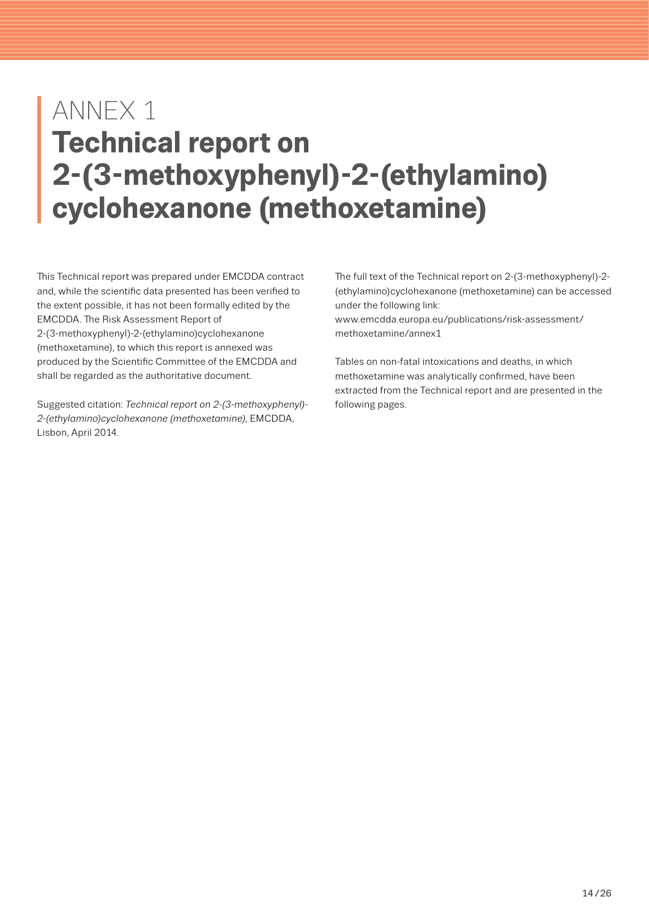# <span id="page-13-0"></span>ANNEX 1 **Technical report on 2-(3-methoxyphenyl)-2-(ethylamino) cyclohexanone (methoxetamine)**

This Technical report was prepared under EMCDDA contract and, while the scientific data presented has been verified to the extent possible, it has not been formally edited by the EMCDDA. The Risk Assessment Report of 2-(3-methoxyphenyl)-2-(ethylamino)cyclohexanone (methoxetamine), to which this report is annexed was produced by the Scientific Committee of the EMCDDA and shall be regarded as the authoritative document.

Suggested citation: *Technical report on 2-(3-methoxyphenyl)- 2-(ethylamino)cyclohexanone (methoxetamine)*, EMCDDA, Lisbon, April 2014.

The full text of the Technical report on 2-(3-methoxyphenyl)-2- (ethylamino)cyclohexanone (methoxetamine) can be accessed under the following link:

www.emcdda.europa.eu/publications/risk-assessment/ methoxetamine/annex1

Tables on non-fatal intoxications and deaths, in which methoxetamine was analytically confirmed, have been [extracted from the Technical report and are presented in the](www.emcdda.europa.eu/publications/risk-assessment/methoxetamine)  following pages.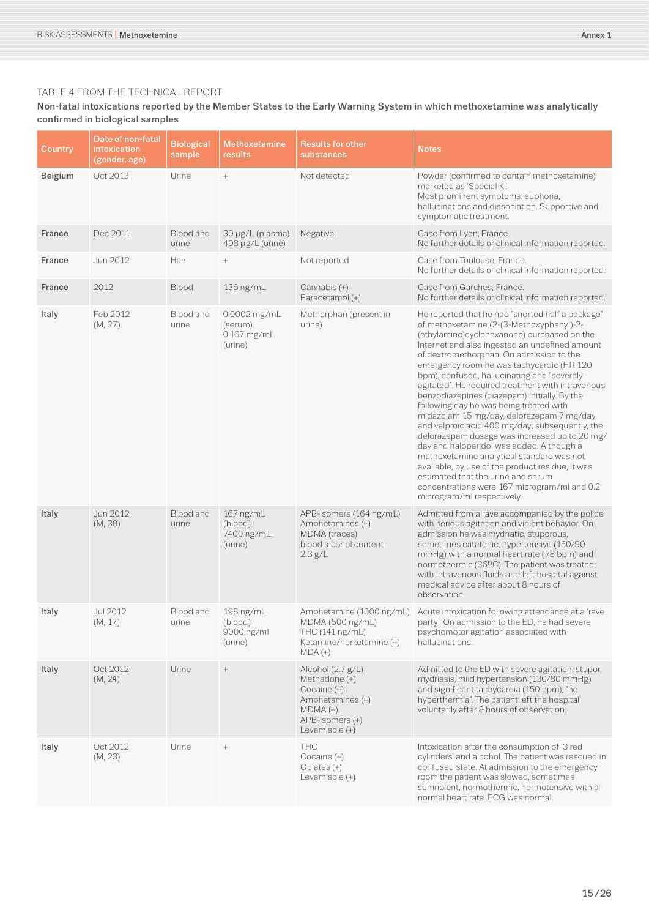#### TABLE 4 FROM THE TECHNICAL REPORT

#### Non-fatal intoxications reported by the Member States to the Early Warning System in which methoxetamine was analytically confirmed in biological samples

| Country        | Date of non-fatal<br>intoxication<br>(gender, age) | <b>Biological</b><br>sample | Methoxetamine<br>results                          | <b>Results for other</b><br>substances                                                                                    | <b>Notes</b>                                                                                                                                                                                                                                                                                                                                                                                                                                                                                                                                                                                                                                                                                                                                                                                                                                                                                             |
|----------------|----------------------------------------------------|-----------------------------|---------------------------------------------------|---------------------------------------------------------------------------------------------------------------------------|----------------------------------------------------------------------------------------------------------------------------------------------------------------------------------------------------------------------------------------------------------------------------------------------------------------------------------------------------------------------------------------------------------------------------------------------------------------------------------------------------------------------------------------------------------------------------------------------------------------------------------------------------------------------------------------------------------------------------------------------------------------------------------------------------------------------------------------------------------------------------------------------------------|
| <b>Belgium</b> | Oct 2013                                           | Urine                       | $^{+}$                                            | Not detected                                                                                                              | Powder (confirmed to contain methoxetamine)<br>marketed as 'Special K'.<br>Most prominent symptoms: euphoria,<br>hallucinations and dissociation. Supportive and<br>symptomatic treatment.                                                                                                                                                                                                                                                                                                                                                                                                                                                                                                                                                                                                                                                                                                               |
| France         | Dec 2011                                           | Blood and<br>urine          | 30 µg/L (plasma)<br>408 µg/L (urine)              | Negative                                                                                                                  | Case from Lyon, France.<br>No further details or clinical information reported.                                                                                                                                                                                                                                                                                                                                                                                                                                                                                                                                                                                                                                                                                                                                                                                                                          |
| France         | Jun 2012                                           | Hair                        | $^{+}$                                            | Not reported                                                                                                              | Case from Toulouse, France.<br>No further details or clinical information reported.                                                                                                                                                                                                                                                                                                                                                                                                                                                                                                                                                                                                                                                                                                                                                                                                                      |
| France         | 2012                                               | <b>Blood</b>                | 136 ng/mL                                         | Cannabis (+)<br>Paracetamol (+)                                                                                           | Case from Garches, France.<br>No further details or clinical information reported.                                                                                                                                                                                                                                                                                                                                                                                                                                                                                                                                                                                                                                                                                                                                                                                                                       |
| Italy          | Feb 2012<br>(M, 27)                                | Blood and<br>urine          | 0.0002 mg/mL<br>(serum)<br>0.167 mg/mL<br>(urine) | Methorphan (present in<br>urine)                                                                                          | He reported that he had "snorted half a package"<br>of methoxetamine (2-(3-Methoxyphenyl)-2-<br>(ethylamino)cyclohexanone) purchased on the<br>Internet and also ingested an undefined amount<br>of dextromethorphan. On admission to the<br>emergency room he was tachycardic (HR 120<br>bpm), confused, hallucinating and "severely<br>agitated". He required treatment with intravenous<br>benzodiazepines (diazepam) initially. By the<br>following day he was being treated with<br>midazolam 15 mg/day, delorazepam 7 mg/day<br>and valproic acid 400 mg/day; subsequently, the<br>delorazepam dosage was increased up to 20 mg/<br>day and haloperidol was added. Although a<br>methoxetamine analytical standard was not<br>available, by use of the product residue, it was<br>estimated that the urine and serum<br>concentrations were 167 microgram/ml and 0.2<br>microgram/ml respectively. |
| Italy          | Jun 2012<br>(M, 38)                                | Blood and<br>urine          | 167 ng/mL<br>(blood)<br>7400 ng/mL<br>(urine)     | APB-isomers (164 ng/mL)<br>Amphetamines (+)<br>MDMA (traces)<br>blood alcohol content<br>2.3 g/L                          | Admitted from a rave accompanied by the police<br>with serious agitation and violent behavior. On<br>admission he was mydriatic, stuporous,<br>sometimes catatonic, hypertensive (150/90<br>mmHg) with a normal heart rate (78 bpm) and<br>normothermic (36ºC). The patient was treated<br>with intravenous fluids and left hospital against<br>medical advice after about 8 hours of<br>observation.                                                                                                                                                                                                                                                                                                                                                                                                                                                                                                    |
| Italy          | Jul 2012<br>(M, 17)                                | Blood and<br>urine          | 198 ng/mL<br>(blood)<br>9000 ng/ml<br>(urine)     | THC (141 ng/mL)<br>Ketamine/norketamine (+)<br>$MDA (+)$                                                                  | Amphetamine (1000 ng/mL) Acute intoxication following attendance at a 'rave<br>MDMA (500 ng/mL) party'. On admission to the ED, he had severe<br>psychomotor agitation associated with<br>hallucinations.                                                                                                                                                                                                                                                                                                                                                                                                                                                                                                                                                                                                                                                                                                |
| Italy          | Oct 2012<br>(M, 24)                                | Urine                       | $^+$                                              | Alcohol (2.7 g/L)<br>Methadone (+)<br>Cocaine (+)<br>Amphetamines (+)<br>$MDMA (+).$<br>APB-isomers (+)<br>Levamisole (+) | Admitted to the ED with severe agitation, stupor,<br>mydriasis, mild hypertension (130/80 mmHg)<br>and significant tachycardia (150 bpm); "no<br>hyperthermia". The patient left the hospital<br>voluntarily after 8 hours of observation.                                                                                                                                                                                                                                                                                                                                                                                                                                                                                                                                                                                                                                                               |
| Italy          | Oct 2012<br>(M, 23)                                | Urine                       | $^+$                                              | <b>THC</b><br>Cocaine (+)<br>Opiates (+)<br>Levamisole (+)                                                                | Intoxication after the consumption of '3 red<br>cylinders' and alcohol. The patient was rescued in<br>confused state. At admission to the emergency<br>room the patient was slowed, sometimes<br>somnolent, normothermic, normotensive with a<br>normal heart rate. ECG was normal.                                                                                                                                                                                                                                                                                                                                                                                                                                                                                                                                                                                                                      |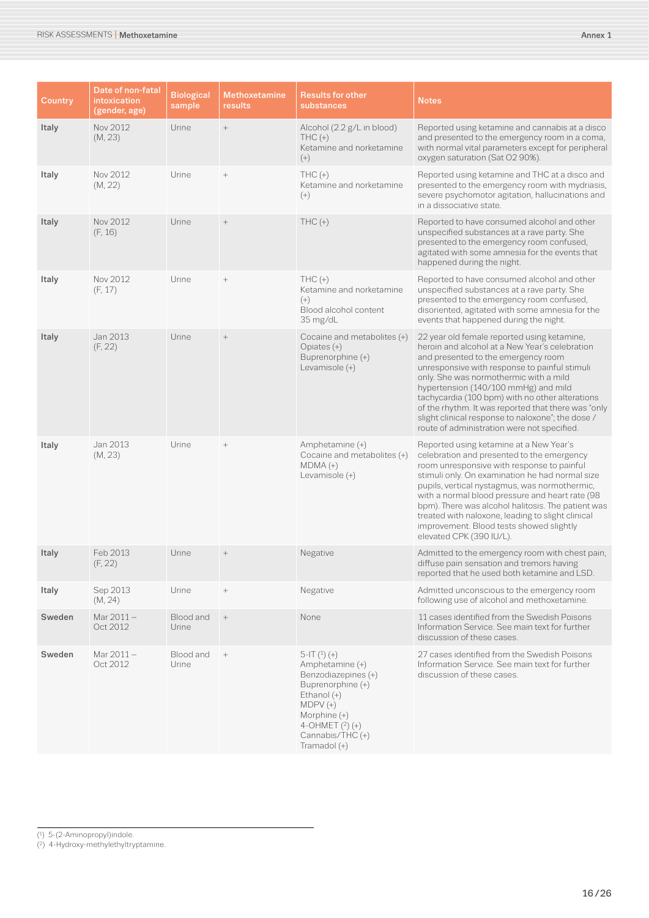| <b>Country</b> | Date of non-fatal<br>intoxication<br>(gender, age) | <b>Biological</b><br>sample | <b>Methoxetamine</b><br>results | <b>Results for other</b><br>substances                                                                                                                                              | <b>Notes</b>                                                                                                                                                                                                                                                                                                                                                                                                                                                                          |
|----------------|----------------------------------------------------|-----------------------------|---------------------------------|-------------------------------------------------------------------------------------------------------------------------------------------------------------------------------------|---------------------------------------------------------------------------------------------------------------------------------------------------------------------------------------------------------------------------------------------------------------------------------------------------------------------------------------------------------------------------------------------------------------------------------------------------------------------------------------|
| Italy          | Nov 2012<br>(M, 23)                                | Urine                       | $\boldsymbol{+}$                | Alcohol (2.2 g/L in blood)<br>$THC (+)$<br>Ketamine and norketamine<br>$(+)$                                                                                                        | Reported using ketamine and cannabis at a disco<br>and presented to the emergency room in a coma,<br>with normal vital parameters except for peripheral<br>oxygen saturation (Sat O2 90%).                                                                                                                                                                                                                                                                                            |
| Italy          | Nov 2012<br>(M, 22)                                | Urine                       |                                 | $THC (+)$<br>Ketamine and norketamine<br>$^{(+)}$                                                                                                                                   | Reported using ketamine and THC at a disco and<br>presented to the emergency room with mydriasis,<br>severe psychomotor agitation, hallucinations and<br>in a dissociative state.                                                                                                                                                                                                                                                                                                     |
| Italy          | Nov 2012<br>(F, 16)                                | Urine                       |                                 | $THC (+)$                                                                                                                                                                           | Reported to have consumed alcohol and other<br>unspecified substances at a rave party. She<br>presented to the emergency room confused,<br>agitated with some amnesia for the events that<br>happened during the night.                                                                                                                                                                                                                                                               |
| Italy          | Nov 2012<br>(F, 17)                                | Urine                       | $^+$                            | $THC (+)$<br>Ketamine and norketamine<br>$(+)$<br>Blood alcohol content<br>35 mg/dL                                                                                                 | Reported to have consumed alcohol and other<br>unspecified substances at a rave party. She<br>presented to the emergency room confused,<br>disoriented, agitated with some amnesia for the<br>events that happened during the night.                                                                                                                                                                                                                                                  |
| Italy          | Jan 2013<br>(F, 22)                                | Urine                       | $^+$                            | Cocaine and metabolites (+)<br>Opiates (+)<br>Buprenorphine (+)<br>Levamisole (+)                                                                                                   | 22 year old female reported using ketamine,<br>heroin and alcohol at a New Year's celebration<br>and presented to the emergency room<br>unresponsive with response to painful stimuli<br>only. She was normothermic with a mild<br>hypertension (140/100 mmHg) and mild<br>tachycardia (100 bpm) with no other alterations<br>of the rhythm. It was reported that there was "only<br>slight clinical response to naloxone"; the dose /<br>route of administration were not specified. |
| Italy          | Jan 2013<br>(M, 23)                                | Urine                       | $^+$                            | Amphetamine (+)<br>Cocaine and metabolites (+)<br>$MDMA (+)$<br>Levamisole (+)                                                                                                      | Reported using ketamine at a New Year's<br>celebration and presented to the emergency<br>room unresponsive with response to painful<br>stimuli only. On examination he had normal size<br>pupils, vertical nystagmus, was normothermic,<br>with a normal blood pressure and heart rate (98<br>bpm). There was alcohol halitosis. The patient was<br>treated with naloxone, leading to slight clinical<br>improvement. Blood tests showed slightly<br>elevated CPK (390 IU/L).         |
| Italy          | Feb 2013<br>(F, 22)                                | Urine                       | $\hspace{0.1mm} +$              | Negative                                                                                                                                                                            | Admitted to the emergency room with chest pain,<br>diffuse pain sensation and tremors having<br>reported that he used both ketamine and LSD.                                                                                                                                                                                                                                                                                                                                          |
| Italy          | Sep 2013<br>(M, 24)                                | Urine                       |                                 | Negative                                                                                                                                                                            | Admitted unconscious to the emergency room<br>following use of alcohol and methoxetamine.                                                                                                                                                                                                                                                                                                                                                                                             |
| Sweden         | Mar 2011-<br>Oct 2012                              | Blood and<br>Urine          | $\, +$                          | None                                                                                                                                                                                | 11 cases identified from the Swedish Poisons<br>Information Service. See main text for further<br>discussion of these cases.                                                                                                                                                                                                                                                                                                                                                          |
| Sweden         | Mar 2011 -<br>Oct 2012                             | Blood and<br>Urine          | $^{+}$                          | $5-IT(1) (+)$<br>Amphetamine (+)<br>Benzodiazepines (+)<br>Buprenorphine (+)<br>Ethanol $(+)$<br>$MDPV(+)$<br>Morphine (+)<br>4-OHMET (2) (+)<br>Cannabis/THC (+)<br>Tramadol $(+)$ | 27 cases identified from the Swedish Poisons<br>Information Service. See main text for further<br>discussion of these cases.                                                                                                                                                                                                                                                                                                                                                          |

(1) 5-(2-Aminopropyl)indole.

<sup>(2)</sup> 4-Hydroxy-methylethyltryptamine.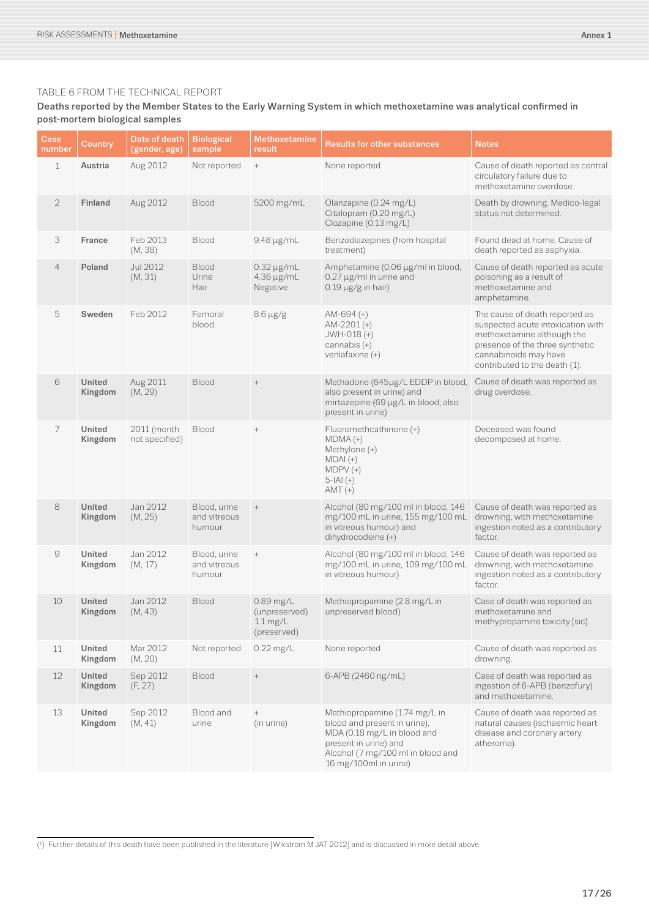#### TABLE 6 FROM THE TECHNICAL REPORT

#### Deaths reported by the Member States to the Early Warning System in which methoxetamine was analytical confirmed in post-mortem biological samples

| Case<br>number      | <b>Country</b>           | Date of death<br>(gender, age) | <b>Biological</b><br>sample            | <b>Methoxetamine</b><br>result                                    | <b>Results for other substances</b>                                                                                                                                                 | <b>Notes</b>                                                                                                                                                                                   |
|---------------------|--------------------------|--------------------------------|----------------------------------------|-------------------------------------------------------------------|-------------------------------------------------------------------------------------------------------------------------------------------------------------------------------------|------------------------------------------------------------------------------------------------------------------------------------------------------------------------------------------------|
| 1                   | Austria                  | Aug 2012                       | Not reported                           | $\! +$                                                            | None reported                                                                                                                                                                       | Cause of death reported as central<br>circulatory failure due to<br>methoxetamine overdose.                                                                                                    |
| $\overline{2}$      | <b>Finland</b>           | Aug 2012                       | <b>Blood</b>                           | 5200 mg/mL                                                        | Olanzapine (0.24 mg/L)<br>Citalopram (0.20 mg/L)<br>Clozapine (0.13 mg/L)                                                                                                           | Death by drowning. Medico-legal<br>status not determined.                                                                                                                                      |
| 3                   | France                   | Feb 2013<br>(M, 38)            | Blood                                  | 9.48 µg/mL                                                        | Benzodiazepines (from hospital<br>treatment)                                                                                                                                        | Found dead at home. Cause of<br>death reported as asphyxia.                                                                                                                                    |
| $\overline{4}$      | Poland                   | Jul 2012<br>(M, 31)            | <b>Blood</b><br>Urine<br>Hair          | $0.32 \mu g/mL$<br>4.36 µg/mL<br>Negative                         | Amphetamine (0.06 µg/ml in blood,<br>0.27 µg/ml in urine and<br>$0.19 \,\mu g/g$ in hair)                                                                                           | Cause of death reported as acute<br>poisoning as a result of<br>methoxetamine and<br>amphetamine.                                                                                              |
| 5                   | Sweden                   | Feb 2012                       | Femoral<br>blood                       | $8.6 \,\mu g/g$                                                   | $AM-694 (+)$<br>AM-2201 $(+)$<br>JWH-018 (+)<br>cannabis $(+)$<br>venlafaxine $(+)$                                                                                                 | The cause of death reported as<br>suspected acute intoxication with<br>methoxetamine although the<br>presence of the three synthetic<br>cannabinoids may have<br>contributed to the death (1). |
| 6                   | <b>United</b><br>Kingdom | Aug 2011<br>(M, 29)            | Blood                                  | $^+$                                                              | Methadone (645µg/L EDDP in blood,<br>also present in urine) and<br>mirtazepine (69 µg/L in blood, also<br>present in urine)                                                         | Cause of death was reported as<br>drug overdose.                                                                                                                                               |
| $\overline{7}$      | United<br>Kingdom        | 2011 (month<br>not specified)  | <b>Blood</b>                           |                                                                   | Fluoromethcathinone (+)<br>$MDMA (+)$<br>Methylone (+)<br>$MDAI (+)$<br>$MDPV(+)$<br>$5 -  A  (+)$<br>$AMT (+)$                                                                     | Deceased was found<br>decomposed at home.                                                                                                                                                      |
| 8                   | United<br>Kingdom        | Jan 2012<br>(M, 25)            | Blood, urine<br>and vitreous<br>humour |                                                                   | Alcohol (80 mg/100 ml in blood, 146<br>mg/100 mL in urine, 155 mg/100 mL<br>in vitreous humour) and<br>dihydrocodeine (+)                                                           | Cause of death was reported as<br>drowning, with methoxetamine<br>ingestion noted as a contributory<br>factor.                                                                                 |
| $\mathcal{G}% _{0}$ | United<br>Kingdom        | Jan 2012<br>(M, 17)            | Blood, urine<br>and vitreous<br>humour | $^{+}$                                                            | Alcohol (80 mg/100 ml in blood, 146<br>mg/100 mL in urine, 109 mg/100 mL<br>in vitreous humour)                                                                                     | Cause of death was reported as<br>drowning, with methoxetamine<br>ingestion noted as a contributory<br>factor.                                                                                 |
| 10                  | <b>United</b><br>Kingdom | Jan 2012<br>(M, 43)            | Blood                                  | $0.89$ mg/L<br>(unpreserved)<br>$1.1 \text{ mg/L}$<br>(preserved) | Methiopropamine (2.8 mg/L in<br>unpreserved blood)                                                                                                                                  | Case of death was reported as<br>methoxetamine and<br>methypropamine toxicity [sic].                                                                                                           |
| 11                  | United<br>Kingdom        | Mar 2012<br>(M, 20)            | Not reported                           | $0.22$ mg/L                                                       | None reported                                                                                                                                                                       | Cause of death was reported as<br>drowning.                                                                                                                                                    |
| 12                  | United<br>Kingdom        | Sep 2012<br>(F, 27)            | Blood                                  | $^+$                                                              | 6-APB (2460 ng/mL)                                                                                                                                                                  | Case of death was reported as<br>ingestion of 6-APB (benzofury)<br>and methoxetamine.                                                                                                          |
| 13                  | United<br>Kingdom        | Sep 2012<br>(M, 41)            | Blood and<br>urine                     | (in urine)                                                        | Methiopropamine (1.74 mg/L in<br>blood and present in urine),<br>MDA (0.18 mg/L in blood and<br>present in urine) and<br>Alcohol (7 mg/100 ml in blood and<br>16 mg/100ml in urine) | Cause of death was reported as<br>natural causes (ischaemic heart<br>disease and coronary artery<br>atheroma).                                                                                 |

 $\overline{1}$  Further details of this death have been published in the literature [Wikstrom M JAT 2012] and is discussed in more detail above.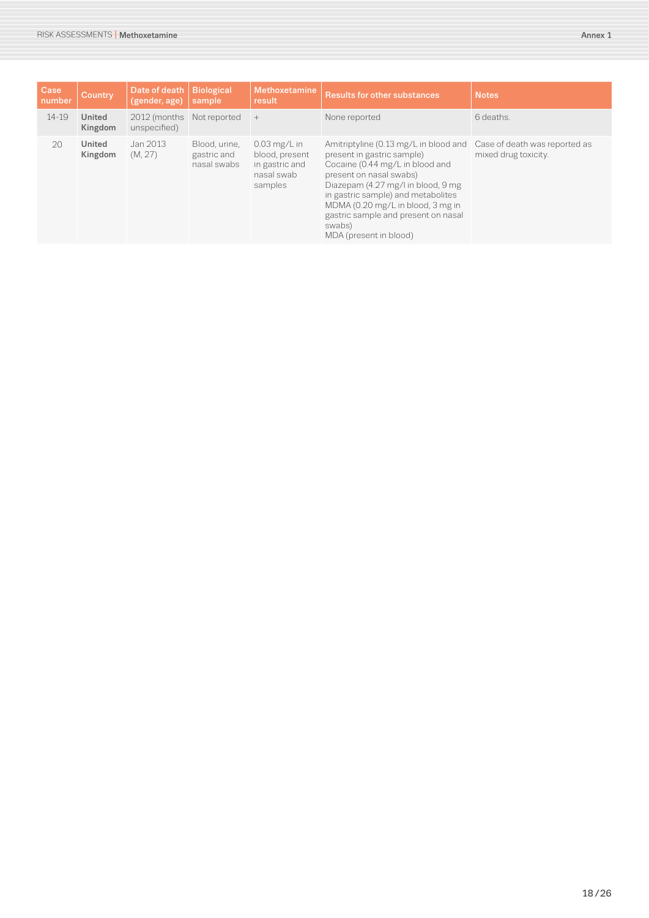| Case<br>number | Country           | Date of death<br>(gender, age)            | <b>Biological</b><br>sample                 | <b>Methoxetamine</b><br>result                                              | <b>Results for other substances</b>                                                                                                                                                                                                                                                                                                                         | <b>Notes</b>         |
|----------------|-------------------|-------------------------------------------|---------------------------------------------|-----------------------------------------------------------------------------|-------------------------------------------------------------------------------------------------------------------------------------------------------------------------------------------------------------------------------------------------------------------------------------------------------------------------------------------------------------|----------------------|
| 14-19          | United<br>Kingdom | 2012 (months Not reported<br>unspecified) |                                             | $+$                                                                         | None reported                                                                                                                                                                                                                                                                                                                                               | 6 deaths.            |
| 20             | United<br>Kingdom | Jan 2013<br>(M, 27)                       | Blood, urine,<br>gastric and<br>nasal swabs | $0.03$ mg/L in<br>blood, present<br>in gastric and<br>nasal swab<br>samples | Amitriptyline (0.13 mg/L in blood and Case of death was reported as<br>present in gastric sample)<br>Cocaine (0.44 mg/L in blood and<br>present on nasal swabs)<br>Diazepam (4.27 mg/l in blood, 9 mg<br>in gastric sample) and metabolites<br>MDMA (0.20 mg/L in blood, 3 mg in<br>gastric sample and present on nasal<br>swabs)<br>MDA (present in blood) | mixed drug toxicity. |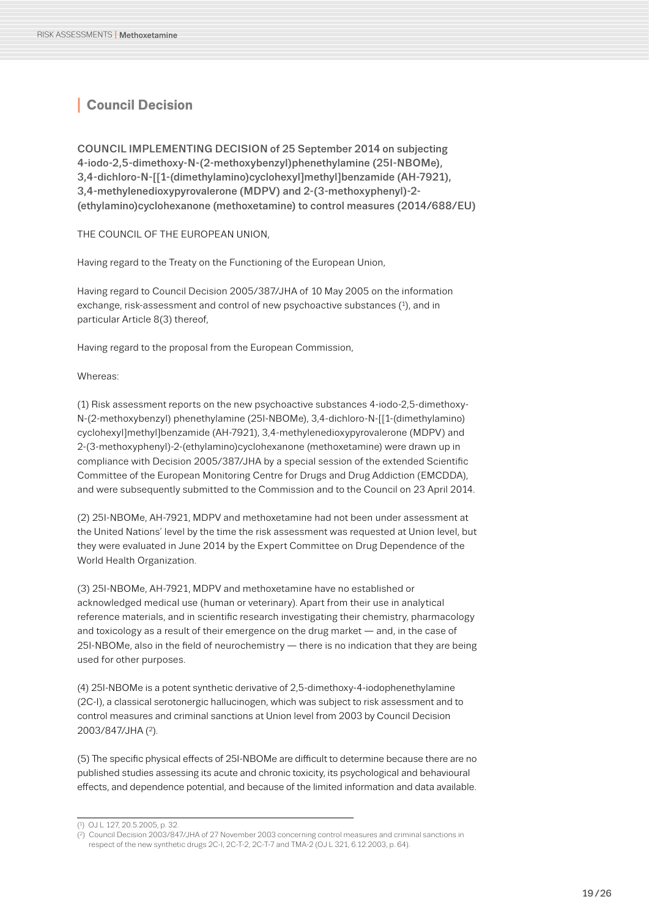# <span id="page-18-0"></span>**<sup>I</sup> Council Decision**

COUNCIL IMPLEMENTING DECISION of 25 September 2014 on subjecting 4-iodo-2,5-dimethoxy-N-(2-methoxybenzyl)phenethylamine (25I-NBOMe), 3,4-dichloro-N-[[1-(dimethylamino)cyclohexyl]methyl]benzamide (AH-7921), 3,4-methylenedioxypyrovalerone (MDPV) and 2-(3-methoxyphenyl)-2- (ethylamino)cyclohexanone (methoxetamine) to control measures (2014/688/EU)

THE COUNCIL OF THE EUROPEAN UNION,

Having regard to the Treaty on the Functioning of the European Union,

Having regard to Council Decision 2005/387/JHA of 10 May 2005 on the information exchange, risk-assessment and control of new psychoactive substances (1), and in particular Article 8(3) thereof,

Having regard to the proposal from the European Commission,

Whereas:

(1) Risk assessment reports on the new psychoactive substances 4-iodo-2,5-dimethoxy-N-(2-methoxybenzyl) phenethylamine (25I-NBOMe), 3,4-dichloro-N-[[1-(dimethylamino) cyclohexyl]methyl]benzamide (AH-7921), 3,4-methylenedioxypyrovalerone (MDPV) and 2-(3-methoxyphenyl)-2-(ethylamino)cyclohexanone (methoxetamine) were drawn up in compliance with Decision 2005/387/JHA by a special session of the extended Scientific Committee of the European Monitoring Centre for Drugs and Drug Addiction (EMCDDA), and were subsequently submitted to the Commission and to the Council on 23 April 2014.

(2) 25I-NBOMe, AH-7921, MDPV and methoxetamine had not been under assessment at the United Nations' level by the time the risk assessment was requested at Union level, but they were evaluated in June 2014 by the Expert Committee on Drug Dependence of the World Health Organization.

(3) 25I-NBOMe, AH-7921, MDPV and methoxetamine have no established or acknowledged medical use (human or veterinary). Apart from their use in analytical reference materials, and in scientific research investigating their chemistry, pharmacology and toxicology as a result of their emergence on the drug market — and, in the case of  $251\text{-}NBOMe$ , also in the field of neurochemistry  $-$  there is no indication that they are being used for other purposes.

(4) 25I-NBOMe is a potent synthetic derivative of 2,5-dimethoxy-4-iodophenethylamine (2C-I), a classical serotonergic hallucinogen, which was subject to risk assessment and to control measures and criminal sanctions at Union level from 2003 by Council Decision 2003/847/JHA (2).

(5) The specific physical effects of 25I-NBOMe are difficult to determine because there are no published studies assessing its acute and chronic toxicity, its psychological and behavioural effects, and dependence potential, and because of the limited information and data available.

<sup>(1)</sup> OJ L 127, 20.5.2005, p. 32.

<sup>(2)</sup> Council Decision 2003/847/JHA of 27 November 2003 concerning control measures and criminal sanctions in respect of the new synthetic drugs 2C-I, 2C-T-2, 2C-T-7 and TMA-2 (OJ L 321, 6.12.2003, p. 64).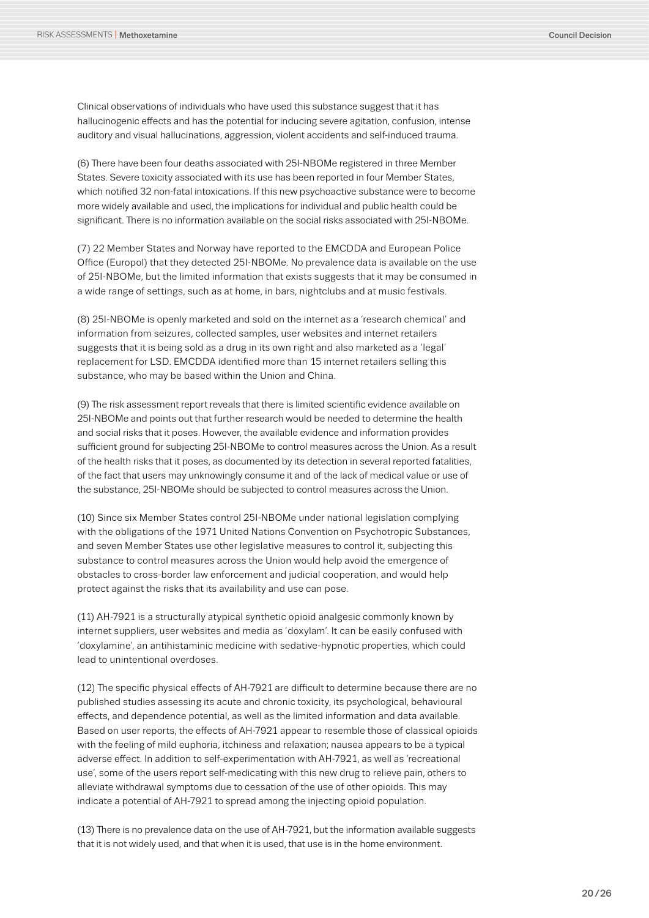Clinical observations of individuals who have used this substance suggest that it has hallucinogenic effects and has the potential for inducing severe agitation, confusion, intense auditory and visual hallucinations, aggression, violent accidents and self-induced trauma.

(6) There have been four deaths associated with 25I-NBOMe registered in three Member States. Severe toxicity associated with its use has been reported in four Member States, which notified 32 non-fatal intoxications. If this new psychoactive substance were to become more widely available and used, the implications for individual and public health could be significant. There is no information available on the social risks associated with 25I-NBOMe.

(7) 22 Member States and Norway have reported to the EMCDDA and European Police Office (Europol) that they detected 25I-NBOMe. No prevalence data is available on the use of 25I-NBOMe, but the limited information that exists suggests that it may be consumed in a wide range of settings, such as at home, in bars, nightclubs and at music festivals.

(8) 25I-NBOMe is openly marketed and sold on the internet as a 'research chemical' and information from seizures, collected samples, user websites and internet retailers suggests that it is being sold as a drug in its own right and also marketed as a 'legal' replacement for LSD. EMCDDA identified more than 15 internet retailers selling this substance, who may be based within the Union and China.

(9) The risk assessment report reveals that there is limited scientific evidence available on 25I-NBOMe and points out that further research would be needed to determine the health and social risks that it poses. However, the available evidence and information provides sufficient ground for subjecting 25I-NBOMe to control measures across the Union. As a result of the health risks that it poses, as documented by its detection in several reported fatalities, of the fact that users may unknowingly consume it and of the lack of medical value or use of the substance, 25I-NBOMe should be subjected to control measures across the Union.

(10) Since six Member States control 25I-NBOMe under national legislation complying with the obligations of the 1971 United Nations Convention on Psychotropic Substances, and seven Member States use other legislative measures to control it, subjecting this substance to control measures across the Union would help avoid the emergence of obstacles to cross-border law enforcement and judicial cooperation, and would help protect against the risks that its availability and use can pose.

(11) AH-7921 is a structurally atypical synthetic opioid analgesic commonly known by internet suppliers, user websites and media as 'doxylam'. It can be easily confused with 'doxylamine', an antihistaminic medicine with sedative-hypnotic properties, which could lead to unintentional overdoses.

(12) The specific physical effects of AH-7921 are difficult to determine because there are no published studies assessing its acute and chronic toxicity, its psychological, behavioural effects, and dependence potential, as well as the limited information and data available. Based on user reports, the effects of AH-7921 appear to resemble those of classical opioids with the feeling of mild euphoria, itchiness and relaxation; nausea appears to be a typical adverse effect. In addition to self-experimentation with AH-7921, as well as 'recreational use', some of the users report self-medicating with this new drug to relieve pain, others to alleviate withdrawal symptoms due to cessation of the use of other opioids. This may indicate a potential of AH-7921 to spread among the injecting opioid population.

(13) There is no prevalence data on the use of AH-7921, but the information available suggests that it is not widely used, and that when it is used, that use is in the home environment.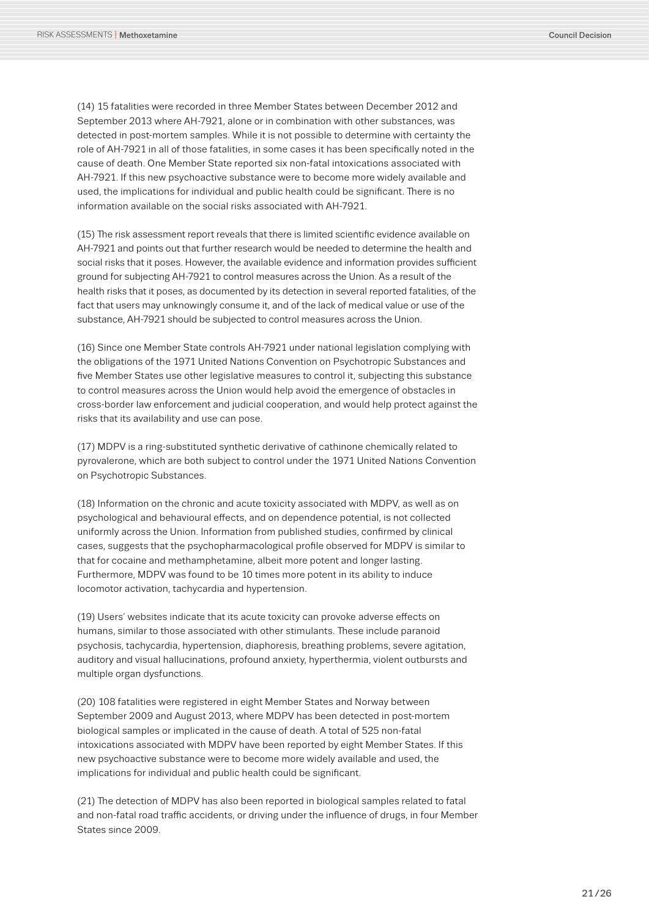(14) 15 fatalities were recorded in three Member States between December 2012 and September 2013 where AH-7921, alone or in combination with other substances, was detected in post-mortem samples. While it is not possible to determine with certainty the role of AH-7921 in all of those fatalities, in some cases it has been specifically noted in the cause of death. One Member State reported six non-fatal intoxications associated with AH-7921. If this new psychoactive substance were to become more widely available and used, the implications for individual and public health could be significant. There is no information available on the social risks associated with AH-7921.

(15) The risk assessment report reveals that there is limited scientific evidence available on AH-7921 and points out that further research would be needed to determine the health and social risks that it poses. However, the available evidence and information provides sufficient ground for subjecting AH-7921 to control measures across the Union. As a result of the health risks that it poses, as documented by its detection in several reported fatalities, of the fact that users may unknowingly consume it, and of the lack of medical value or use of the substance, AH-7921 should be subjected to control measures across the Union.

(16) Since one Member State controls AH-7921 under national legislation complying with the obligations of the 1971 United Nations Convention on Psychotropic Substances and five Member States use other legislative measures to control it, subjecting this substance to control measures across the Union would help avoid the emergence of obstacles in cross-border law enforcement and judicial cooperation, and would help protect against the risks that its availability and use can pose.

(17) MDPV is a ring-substituted synthetic derivative of cathinone chemically related to pyrovalerone, which are both subject to control under the 1971 United Nations Convention on Psychotropic Substances.

(18) Information on the chronic and acute toxicity associated with MDPV, as well as on psychological and behavioural effects, and on dependence potential, is not collected uniformly across the Union. Information from published studies, confirmed by clinical cases, suggests that the psychopharmacological profile observed for MDPV is similar to that for cocaine and methamphetamine, albeit more potent and longer lasting. Furthermore, MDPV was found to be 10 times more potent in its ability to induce locomotor activation, tachycardia and hypertension.

(19) Users' websites indicate that its acute toxicity can provoke adverse effects on humans, similar to those associated with other stimulants. These include paranoid psychosis, tachycardia, hypertension, diaphoresis, breathing problems, severe agitation, auditory and visual hallucinations, profound anxiety, hyperthermia, violent outbursts and multiple organ dysfunctions.

(20) 108 fatalities were registered in eight Member States and Norway between September 2009 and August 2013, where MDPV has been detected in post-mortem biological samples or implicated in the cause of death. A total of 525 non-fatal intoxications associated with MDPV have been reported by eight Member States. If this new psychoactive substance were to become more widely available and used, the implications for individual and public health could be significant.

(21) The detection of MDPV has also been reported in biological samples related to fatal and non-fatal road traffic accidents, or driving under the influence of drugs, in four Member States since 2009.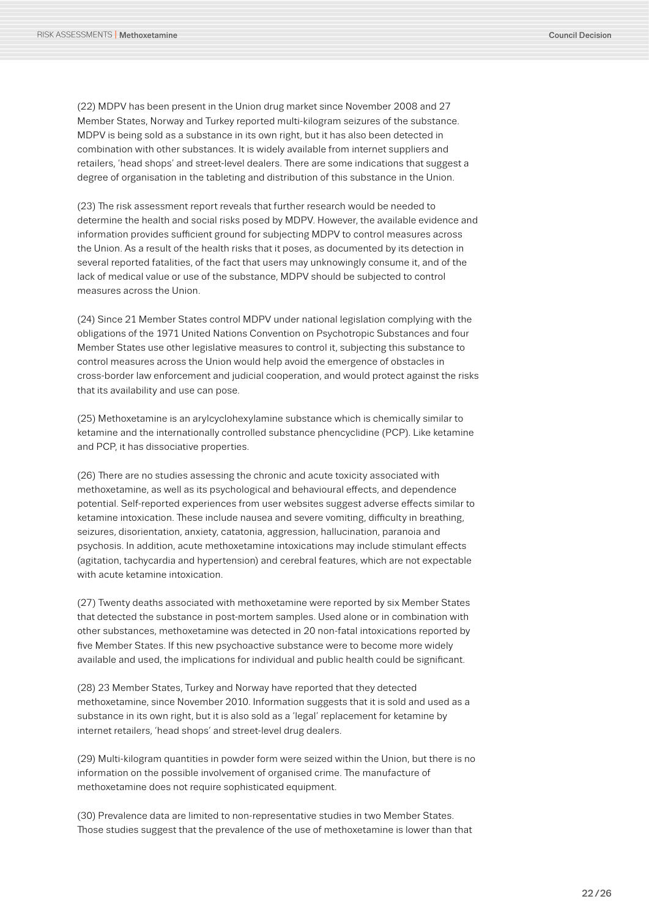(22) MDPV has been present in the Union drug market since November 2008 and 27 Member States, Norway and Turkey reported multi-kilogram seizures of the substance. MDPV is being sold as a substance in its own right, but it has also been detected in combination with other substances. It is widely available from internet suppliers and retailers, 'head shops' and street-level dealers. There are some indications that suggest a degree of organisation in the tableting and distribution of this substance in the Union.

(23) The risk assessment report reveals that further research would be needed to determine the health and social risks posed by MDPV. However, the available evidence and information provides sufficient ground for subjecting MDPV to control measures across the Union. As a result of the health risks that it poses, as documented by its detection in several reported fatalities, of the fact that users may unknowingly consume it, and of the lack of medical value or use of the substance, MDPV should be subjected to control measures across the Union.

(24) Since 21 Member States control MDPV under national legislation complying with the obligations of the 1971 United Nations Convention on Psychotropic Substances and four Member States use other legislative measures to control it, subjecting this substance to control measures across the Union would help avoid the emergence of obstacles in cross-border law enforcement and judicial cooperation, and would protect against the risks that its availability and use can pose.

(25) Methoxetamine is an arylcyclohexylamine substance which is chemically similar to ketamine and the internationally controlled substance phencyclidine (PCP). Like ketamine and PCP, it has dissociative properties.

(26) There are no studies assessing the chronic and acute toxicity associated with methoxetamine, as well as its psychological and behavioural effects, and dependence potential. Self-reported experiences from user websites suggest adverse effects similar to ketamine intoxication. These include nausea and severe vomiting, difficulty in breathing, seizures, disorientation, anxiety, catatonia, aggression, hallucination, paranoia and psychosis. In addition, acute methoxetamine intoxications may include stimulant effects (agitation, tachycardia and hypertension) and cerebral features, which are not expectable with acute ketamine intoxication.

(27) Twenty deaths associated with methoxetamine were reported by six Member States that detected the substance in post-mortem samples. Used alone or in combination with other substances, methoxetamine was detected in 20 non-fatal intoxications reported by five Member States. If this new psychoactive substance were to become more widely available and used, the implications for individual and public health could be significant.

(28) 23 Member States, Turkey and Norway have reported that they detected methoxetamine, since November 2010. Information suggests that it is sold and used as a substance in its own right, but it is also sold as a 'legal' replacement for ketamine by internet retailers, 'head shops' and street-level drug dealers.

(29) Multi-kilogram quantities in powder form were seized within the Union, but there is no information on the possible involvement of organised crime. The manufacture of methoxetamine does not require sophisticated equipment.

(30) Prevalence data are limited to non-representative studies in two Member States. Those studies suggest that the prevalence of the use of methoxetamine is lower than that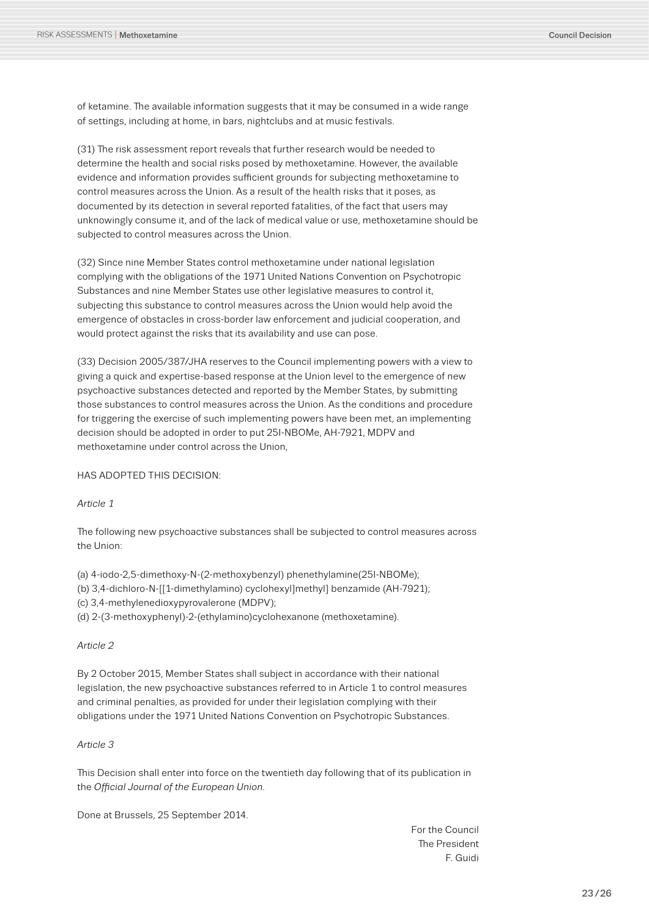of ketamine. The available information suggests that it may be consumed in a wide range of settings, including at home, in bars, nightclubs and at music festivals.

(31) The risk assessment report reveals that further research would be needed to determine the health and social risks posed by methoxetamine. However, the available evidence and information provides sufficient grounds for subjecting methoxetamine to control measures across the Union. As a result of the health risks that it poses, as documented by its detection in several reported fatalities, of the fact that users may unknowingly consume it, and of the lack of medical value or use, methoxetamine should be subjected to control measures across the Union.

(32) Since nine Member States control methoxetamine under national legislation complying with the obligations of the 1971 United Nations Convention on Psychotropic Substances and nine Member States use other legislative measures to control it, subjecting this substance to control measures across the Union would help avoid the emergence of obstacles in cross-border law enforcement and judicial cooperation, and would protect against the risks that its availability and use can pose.

(33) Decision 2005/387/JHA reserves to the Council implementing powers with a view to giving a quick and expertise-based response at the Union level to the emergence of new psychoactive substances detected and reported by the Member States, by submitting those substances to control measures across the Union. As the conditions and procedure for triggering the exercise of such implementing powers have been met, an implementing decision should be adopted in order to put 25I-NBOMe, AH-7921, MDPV and methoxetamine under control across the Union,

HAS ADOPTED THIS DECISION:

#### *Article 1*

The following new psychoactive substances shall be subjected to control measures across the Union:

(a) 4-iodo-2,5-dimethoxy-N-(2-methoxybenzyl) phenethylamine(25I-NBOMe); (b) 3,4-dichloro-N-[[1-dimethylamino) cyclohexyl]methyl] benzamide (AH-7921); (c) 3,4-methylenedioxypyrovalerone (MDPV); (d) 2-(3-methoxyphenyl)-2-(ethylamino)cyclohexanone (methoxetamine).

#### *Article 2*

By 2 October 2015, Member States shall subject in accordance with their national legislation, the new psychoactive substances referred to in Article 1 to control measures and criminal penalties, as provided for under their legislation complying with their obligations under the 1971 United Nations Convention on Psychotropic Substances.

#### *Article 3*

This Decision shall enter into force on the twentieth day following that of its publication in the *Official Journal of the European Union*.

Done at Brussels, 25 September 2014.

For the Council The President F. Guidi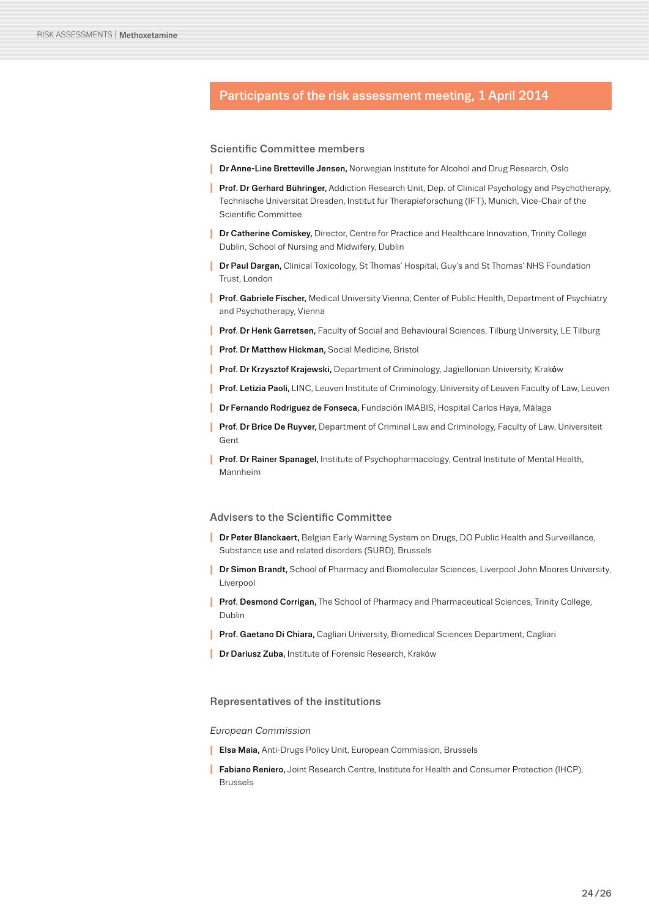### <span id="page-23-0"></span>Participants of the risk assessment meeting, 1 April 2014

#### Scientific Committee members

- **I** Dr Anne-Line Bretteville Jensen, Norwegian Institute for Alcohol and Drug Research, Oslo
- **I** Prof. Dr Gerhard Bühringer, Addiction Research Unit, Dep. of Clinical Psychology and Psychotherapy, Technische Universität Dresden, Institut für Therapieforschung (IFT), Munich, Vice-Chair of the Scientific Committee
- **I** Dr Catherine Comiskey, Director, Centre for Practice and Healthcare Innovation, Trinity College Dublin, School of Nursing and Midwifery, Dublin
- **I** Dr Paul Dargan, Clinical Toxicology, St Thomas' Hospital, Guy's and St Thomas' NHS Foundation Trust, London
- **I** Prof. Gabriele Fischer, Medical University Vienna, Center of Public Health, Department of Psychiatry and Psychotherapy, Vienna
- **I** Prof. Dr Henk Garretsen, Faculty of Social and Behavioural Sciences, Tilburg University, LE Tilburg
- **I** Prof. Dr Matthew Hickman, Social Medicine, Bristol
- **I** Prof. Dr Krzysztof Krajewski, Department of Criminology, Jagiellonian University, Kraków
- **I** Prof. Letizia Paoli, LINC, Leuven Institute of Criminology, University of Leuven Faculty of Law, Leuven
- **I** Dr Fernando Rodriguez de Fonseca, Fundación IMABIS, Hospital Carlos Haya, Málaga
- **I** Prof. Dr Brice De Ruyver, Department of Criminal Law and Criminology, Faculty of Law, Universiteit Gent
- **I** Prof. Dr Rainer Spanagel, Institute of Psychopharmacology, Central Institute of Mental Health, Mannheim

#### Advisers to the Scientific Committee

- **I** Dr Peter Blanckaert, Belgian Early Warning System on Drugs, DO Public Health and Surveillance, Substance use and related disorders (SURD), Brussels
- **I** Dr Simon Brandt, School of Pharmacy and Biomolecular Sciences, Liverpool John Moores University, Liverpool
- **I** Prof. Desmond Corrigan, The School of Pharmacy and Pharmaceutical Sciences, Trinity College, Dublin
- **I** Prof. Gaetano Di Chiara, Cagliari University, Biomedical Sciences Department, Cagliari
- **I** Dr Dariusz Zuba, Institute of Forensic Research, Kraków

#### Representatives of the institutions

#### *European Commission*

- **I** Elsa Maia, Anti-Drugs Policy Unit, European Commission, Brussels
- **I** Fabiano Reniero, Joint Research Centre, Institute for Health and Consumer Protection (IHCP), Brussels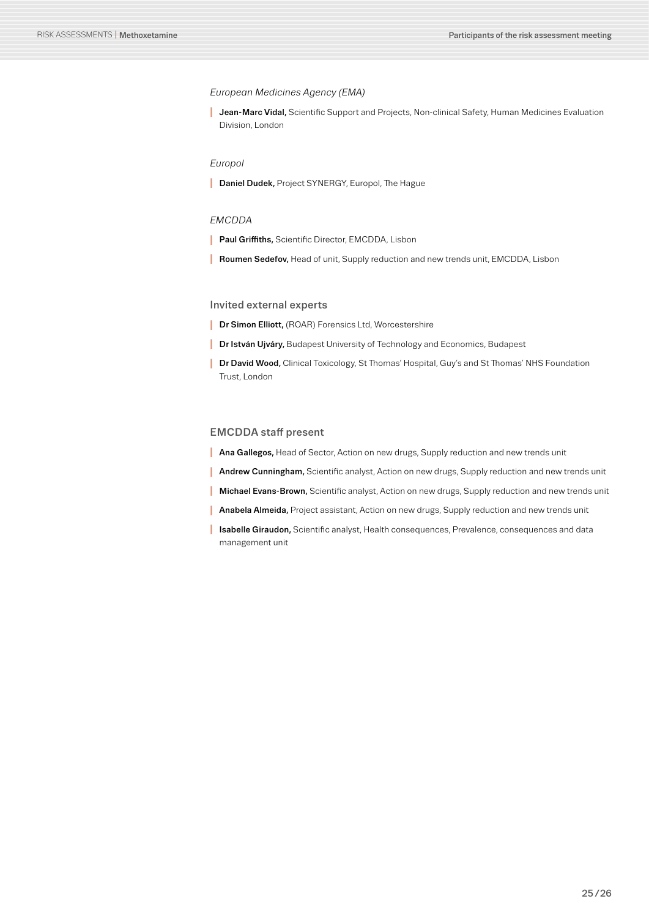#### *European Medicines Agency (EMA)*

**I** Jean-Marc Vidal, Scientific Support and Projects, Non-clinical Safety, Human Medicines Evaluation Division, London

#### *Europol*

**I** Daniel Dudek, Project SYNERGY, Europol, The Hague

#### *EMCDDA*

- **Paul Griffiths, Scientific Director, EMCDDA, Lisbon**
- **I** Roumen Sedefov, Head of unit, Supply reduction and new trends unit, EMCDDA, Lisbon

#### Invited external experts

- **I** Dr Simon Elliott, (ROAR) Forensics Ltd, Worcestershire
- **I** Dr István Ujváry, Budapest University of Technology and Economics, Budapest
- **I** Dr David Wood, Clinical Toxicology, St Thomas' Hospital, Guy's and St Thomas' NHS Foundation Trust, London

#### EMCDDA staff present

- **I** Ana Gallegos, Head of Sector, Action on new drugs, Supply reduction and new trends unit
- **I** Andrew Cunningham, Scientific analyst, Action on new drugs, Supply reduction and new trends unit
- **I** Michael Evans-Brown, Scientific analyst, Action on new drugs, Supply reduction and new trends unit
- **Anabela Almeida, Project assistant, Action on new drugs, Supply reduction and new trends unit**
- **I** Isabelle Giraudon, Scientific analyst, Health consequences, Prevalence, consequences and data management unit